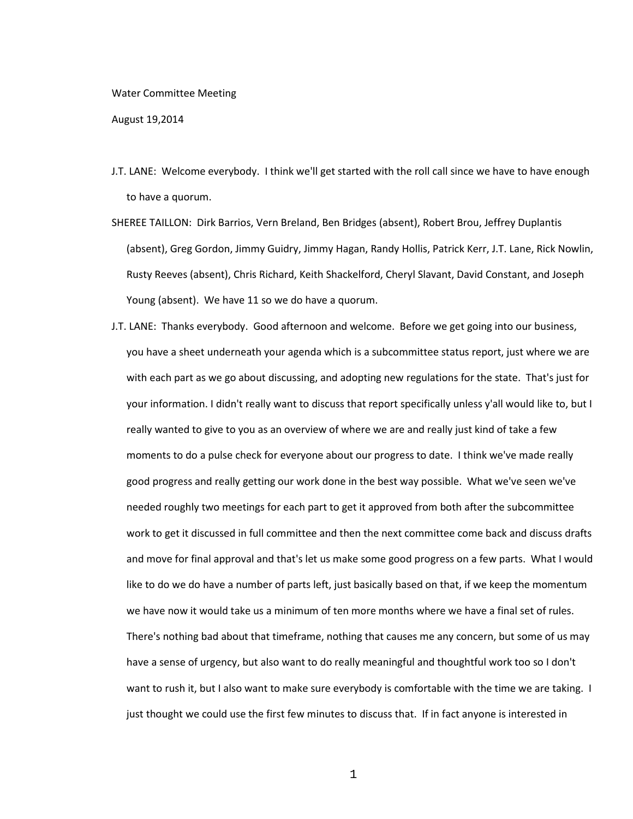## Water Committee Meeting

August 19,2014

- J.T. LANE: Welcome everybody. I think we'll get started with the roll call since we have to have enough to have a quorum.
- SHEREE TAILLON: Dirk Barrios, Vern Breland, Ben Bridges (absent), Robert Brou, Jeffrey Duplantis (absent), Greg Gordon, Jimmy Guidry, Jimmy Hagan, Randy Hollis, Patrick Kerr, J.T. Lane, Rick Nowlin, Rusty Reeves (absent), Chris Richard, Keith Shackelford, Cheryl Slavant, David Constant, and Joseph Young (absent). We have 11 so we do have a quorum.
- J.T. LANE: Thanks everybody. Good afternoon and welcome. Before we get going into our business, you have a sheet underneath your agenda which is a subcommittee status report, just where we are with each part as we go about discussing, and adopting new regulations for the state. That's just for your information. I didn't really want to discuss that report specifically unless y'all would like to, but I really wanted to give to you as an overview of where we are and really just kind of take a few moments to do a pulse check for everyone about our progress to date. I think we've made really good progress and really getting our work done in the best way possible. What we've seen we've needed roughly two meetings for each part to get it approved from both after the subcommittee work to get it discussed in full committee and then the next committee come back and discuss drafts and move for final approval and that's let us make some good progress on a few parts. What I would like to do we do have a number of parts left, just basically based on that, if we keep the momentum we have now it would take us a minimum of ten more months where we have a final set of rules. There's nothing bad about that timeframe, nothing that causes me any concern, but some of us may have a sense of urgency, but also want to do really meaningful and thoughtful work too so I don't want to rush it, but I also want to make sure everybody is comfortable with the time we are taking. I just thought we could use the first few minutes to discuss that. If in fact anyone is interested in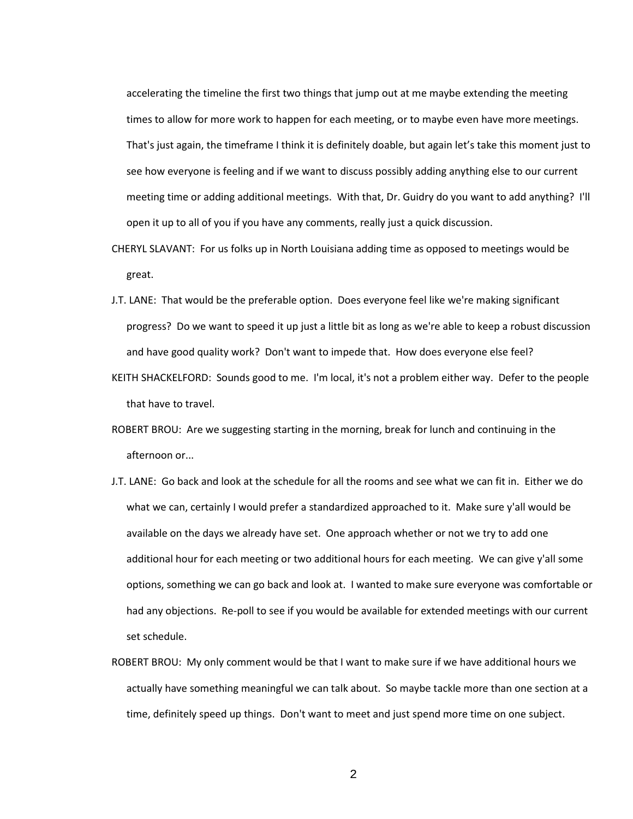accelerating the timeline the first two things that jump out at me maybe extending the meeting times to allow for more work to happen for each meeting, or to maybe even have more meetings. That's just again, the timeframe I think it is definitely doable, but again let's take this moment just to see how everyone is feeling and if we want to discuss possibly adding anything else to our current meeting time or adding additional meetings. With that, Dr. Guidry do you want to add anything? I'll open it up to all of you if you have any comments, really just a quick discussion.

- CHERYL SLAVANT: For us folks up in North Louisiana adding time as opposed to meetings would be great.
- J.T. LANE: That would be the preferable option. Does everyone feel like we're making significant progress? Do we want to speed it up just a little bit as long as we're able to keep a robust discussion and have good quality work? Don't want to impede that. How does everyone else feel?
- KEITH SHACKELFORD: Sounds good to me. I'm local, it's not a problem either way. Defer to the people that have to travel.
- ROBERT BROU: Are we suggesting starting in the morning, break for lunch and continuing in the afternoon or...
- J.T. LANE: Go back and look at the schedule for all the rooms and see what we can fit in. Either we do what we can, certainly I would prefer a standardized approached to it. Make sure y'all would be available on the days we already have set. One approach whether or not we try to add one additional hour for each meeting or two additional hours for each meeting. We can give y'all some options, something we can go back and look at. I wanted to make sure everyone was comfortable or had any objections. Re-poll to see if you would be available for extended meetings with our current set schedule.
- ROBERT BROU: My only comment would be that I want to make sure if we have additional hours we actually have something meaningful we can talk about. So maybe tackle more than one section at a time, definitely speed up things. Don't want to meet and just spend more time on one subject.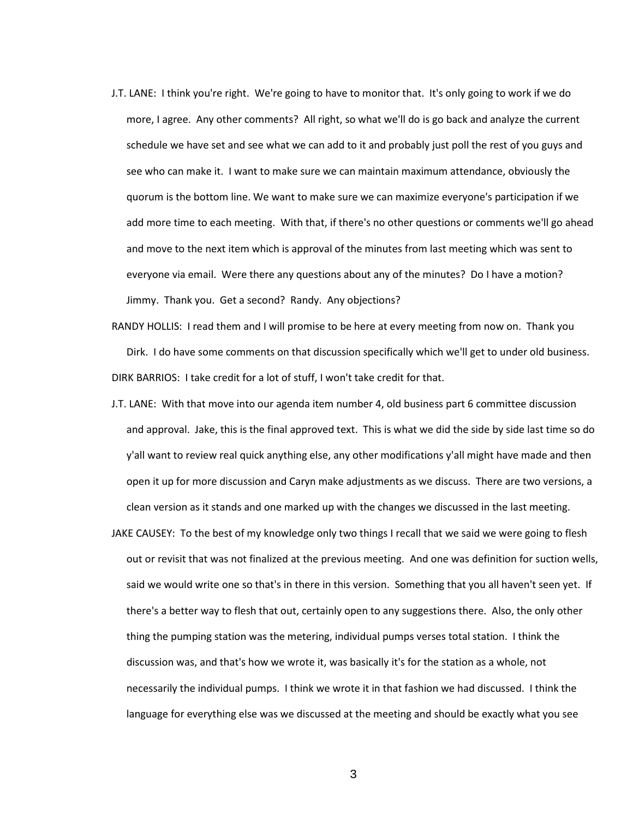J.T. LANE: I think you're right. We're going to have to monitor that. It's only going to work if we do more, I agree. Any other comments? All right, so what we'll do is go back and analyze the current schedule we have set and see what we can add to it and probably just poll the rest of you guys and see who can make it. I want to make sure we can maintain maximum attendance, obviously the quorum is the bottom line. We want to make sure we can maximize everyone's participation if we add more time to each meeting. With that, if there's no other questions or comments we'll go ahead and move to the next item which is approval of the minutes from last meeting which was sent to everyone via email. Were there any questions about any of the minutes? Do I have a motion? Jimmy. Thank you. Get a second? Randy. Any objections?

RANDY HOLLIS: I read them and I will promise to be here at every meeting from now on. Thank you Dirk. I do have some comments on that discussion specifically which we'll get to under old business. DIRK BARRIOS: I take credit for a lot of stuff, I won't take credit for that.

- J.T. LANE: With that move into our agenda item number 4, old business part 6 committee discussion and approval. Jake, this is the final approved text. This is what we did the side by side last time so do y'all want to review real quick anything else, any other modifications y'all might have made and then open it up for more discussion and Caryn make adjustments as we discuss. There are two versions, a clean version as it stands and one marked up with the changes we discussed in the last meeting.
- JAKE CAUSEY: To the best of my knowledge only two things I recall that we said we were going to flesh out or revisit that was not finalized at the previous meeting. And one was definition for suction wells, said we would write one so that's in there in this version. Something that you all haven't seen yet. If there's a better way to flesh that out, certainly open to any suggestions there. Also, the only other thing the pumping station was the metering, individual pumps verses total station. I think the discussion was, and that's how we wrote it, was basically it's for the station as a whole, not necessarily the individual pumps. I think we wrote it in that fashion we had discussed. I think the language for everything else was we discussed at the meeting and should be exactly what you see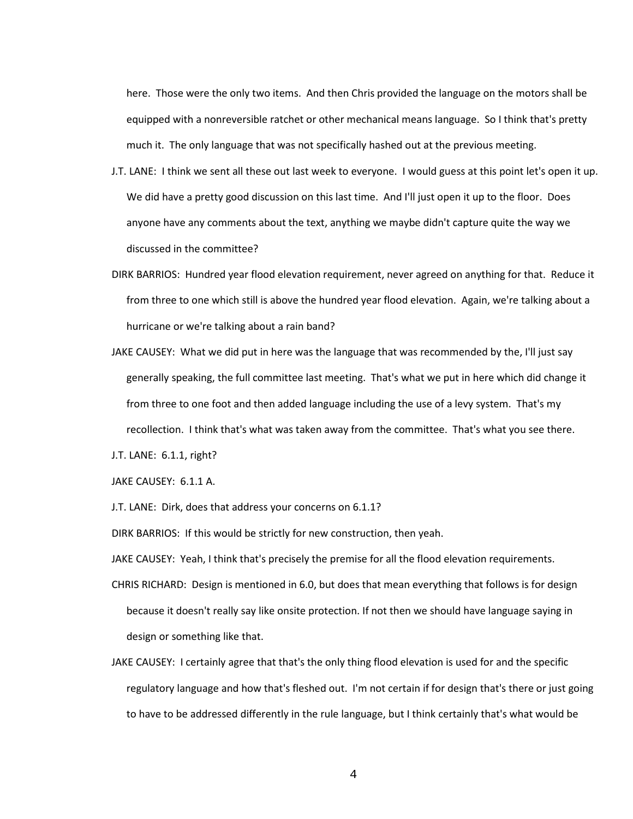here. Those were the only two items. And then Chris provided the language on the motors shall be equipped with a nonreversible ratchet or other mechanical means language. So I think that's pretty much it. The only language that was not specifically hashed out at the previous meeting.

- J.T. LANE: I think we sent all these out last week to everyone. I would guess at this point let's open it up. We did have a pretty good discussion on this last time. And I'll just open it up to the floor. Does anyone have any comments about the text, anything we maybe didn't capture quite the way we discussed in the committee?
- DIRK BARRIOS: Hundred year flood elevation requirement, never agreed on anything for that. Reduce it from three to one which still is above the hundred year flood elevation. Again, we're talking about a hurricane or we're talking about a rain band?
- JAKE CAUSEY: What we did put in here was the language that was recommended by the, I'll just say generally speaking, the full committee last meeting. That's what we put in here which did change it from three to one foot and then added language including the use of a levy system. That's my recollection. I think that's what was taken away from the committee. That's what you see there.

J.T. LANE: 6.1.1, right?

JAKE CAUSEY: 6.1.1 A.

J.T. LANE: Dirk, does that address your concerns on 6.1.1?

DIRK BARRIOS: If this would be strictly for new construction, then yeah.

JAKE CAUSEY: Yeah, I think that's precisely the premise for all the flood elevation requirements.

- CHRIS RICHARD: Design is mentioned in 6.0, but does that mean everything that follows is for design because it doesn't really say like onsite protection. If not then we should have language saying in design or something like that.
- JAKE CAUSEY: I certainly agree that that's the only thing flood elevation is used for and the specific regulatory language and how that's fleshed out. I'm not certain if for design that's there or just going to have to be addressed differently in the rule language, but I think certainly that's what would be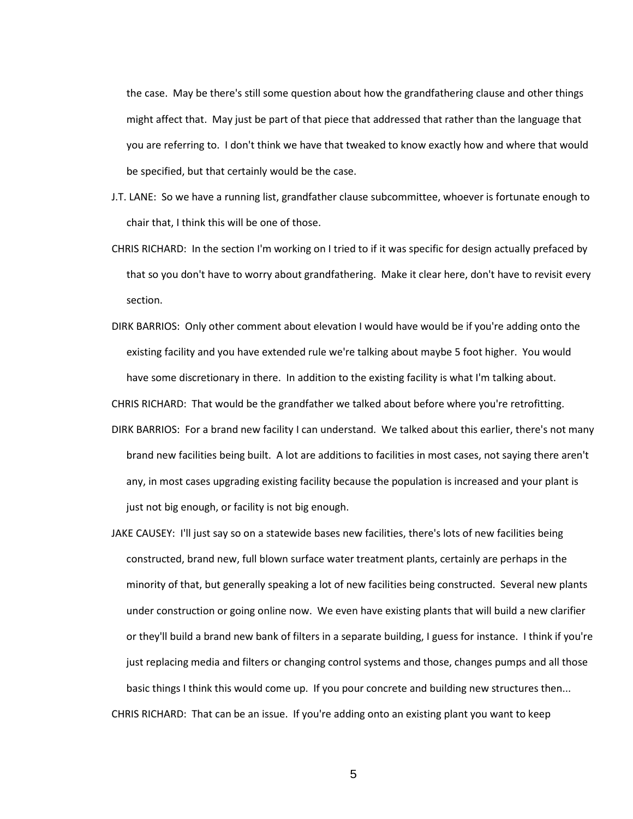the case. May be there's still some question about how the grandfathering clause and other things might affect that. May just be part of that piece that addressed that rather than the language that you are referring to. I don't think we have that tweaked to know exactly how and where that would be specified, but that certainly would be the case.

- J.T. LANE: So we have a running list, grandfather clause subcommittee, whoever is fortunate enough to chair that, I think this will be one of those.
- CHRIS RICHARD: In the section I'm working on I tried to if it was specific for design actually prefaced by that so you don't have to worry about grandfathering. Make it clear here, don't have to revisit every section.
- DIRK BARRIOS: Only other comment about elevation I would have would be if you're adding onto the existing facility and you have extended rule we're talking about maybe 5 foot higher. You would have some discretionary in there. In addition to the existing facility is what I'm talking about.

CHRIS RICHARD: That would be the grandfather we talked about before where you're retrofitting.

- DIRK BARRIOS: For a brand new facility I can understand. We talked about this earlier, there's not many brand new facilities being built. A lot are additions to facilities in most cases, not saying there aren't any, in most cases upgrading existing facility because the population is increased and your plant is just not big enough, or facility is not big enough.
- JAKE CAUSEY: I'll just say so on a statewide bases new facilities, there's lots of new facilities being constructed, brand new, full blown surface water treatment plants, certainly are perhaps in the minority of that, but generally speaking a lot of new facilities being constructed. Several new plants under construction or going online now. We even have existing plants that will build a new clarifier or they'll build a brand new bank of filters in a separate building, I guess for instance. I think if you're just replacing media and filters or changing control systems and those, changes pumps and all those basic things I think this would come up. If you pour concrete and building new structures then... CHRIS RICHARD: That can be an issue. If you're adding onto an existing plant you want to keep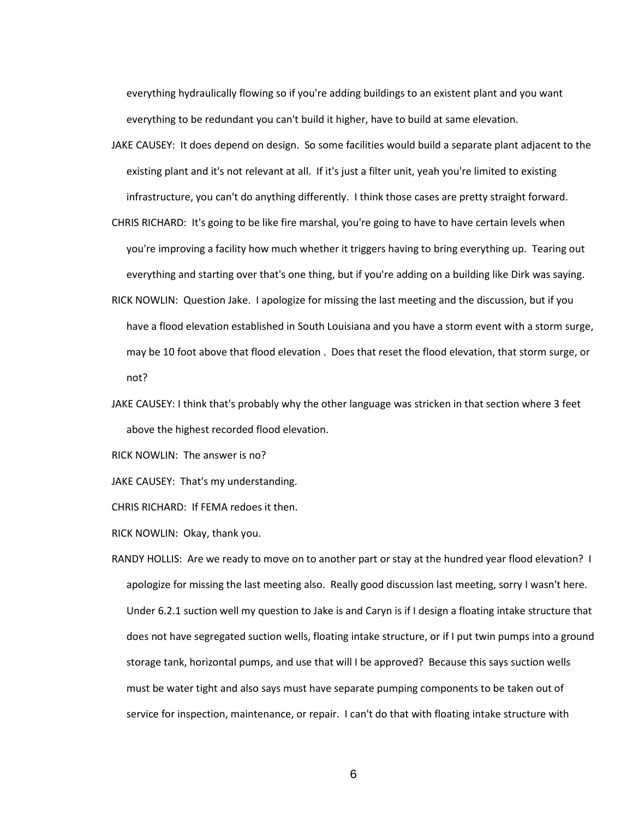everything hydraulically flowing so if you're adding buildings to an existent plant and you want everything to be redundant you can't build it higher, have to build at same elevation.

- JAKE CAUSEY: It does depend on design. So some facilities would build a separate plant adjacent to the existing plant and it's not relevant at all. If it's just a filter unit, yeah you're limited to existing infrastructure, you can't do anything differently. I think those cases are pretty straight forward.
- CHRIS RICHARD: It's going to be like fire marshal, you're going to have to have certain levels when you're improving a facility how much whether it triggers having to bring everything up. Tearing out everything and starting over that's one thing, but if you're adding on a building like Dirk was saying.
- RICK NOWLIN: Question Jake. I apologize for missing the last meeting and the discussion, but if you have a flood elevation established in South Louisiana and you have a storm event with a storm surge, may be 10 foot above that flood elevation . Does that reset the flood elevation, that storm surge, or not?
- JAKE CAUSEY: I think that's probably why the other language was stricken in that section where 3 feet above the highest recorded flood elevation.

RICK NOWLIN: The answer is no?

JAKE CAUSEY: That's my understanding.

CHRIS RICHARD: If FEMA redoes it then.

RICK NOWLIN: Okay, thank you.

RANDY HOLLIS: Are we ready to move on to another part or stay at the hundred year flood elevation? I apologize for missing the last meeting also. Really good discussion last meeting, sorry I wasn't here. Under 6.2.1 suction well my question to Jake is and Caryn is if I design a floating intake structure that does not have segregated suction wells, floating intake structure, or if I put twin pumps into a ground storage tank, horizontal pumps, and use that will I be approved? Because this says suction wells must be water tight and also says must have separate pumping components to be taken out of service for inspection, maintenance, or repair. I can't do that with floating intake structure with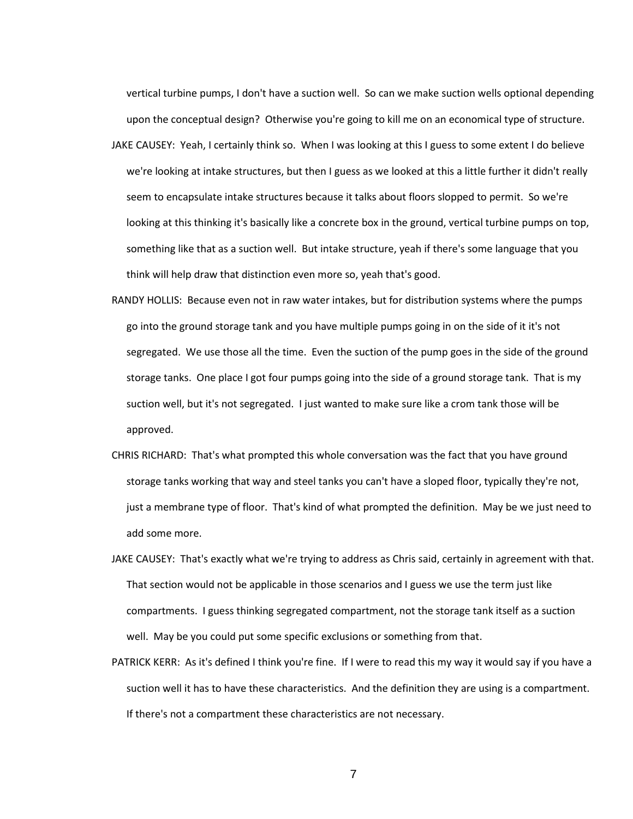vertical turbine pumps, I don't have a suction well. So can we make suction wells optional depending upon the conceptual design? Otherwise you're going to kill me on an economical type of structure.

- JAKE CAUSEY: Yeah, I certainly think so. When I was looking at this I guess to some extent I do believe we're looking at intake structures, but then I guess as we looked at this a little further it didn't really seem to encapsulate intake structures because it talks about floors slopped to permit. So we're looking at this thinking it's basically like a concrete box in the ground, vertical turbine pumps on top, something like that as a suction well. But intake structure, yeah if there's some language that you think will help draw that distinction even more so, yeah that's good.
- RANDY HOLLIS: Because even not in raw water intakes, but for distribution systems where the pumps go into the ground storage tank and you have multiple pumps going in on the side of it it's not segregated. We use those all the time. Even the suction of the pump goes in the side of the ground storage tanks. One place I got four pumps going into the side of a ground storage tank. That is my suction well, but it's not segregated. I just wanted to make sure like a crom tank those will be approved.
- CHRIS RICHARD: That's what prompted this whole conversation was the fact that you have ground storage tanks working that way and steel tanks you can't have a sloped floor, typically they're not, just a membrane type of floor. That's kind of what prompted the definition. May be we just need to add some more.
- JAKE CAUSEY: That's exactly what we're trying to address as Chris said, certainly in agreement with that. That section would not be applicable in those scenarios and I guess we use the term just like compartments. I guess thinking segregated compartment, not the storage tank itself as a suction well. May be you could put some specific exclusions or something from that.
- PATRICK KERR: As it's defined I think you're fine. If I were to read this my way it would say if you have a suction well it has to have these characteristics. And the definition they are using is a compartment. If there's not a compartment these characteristics are not necessary.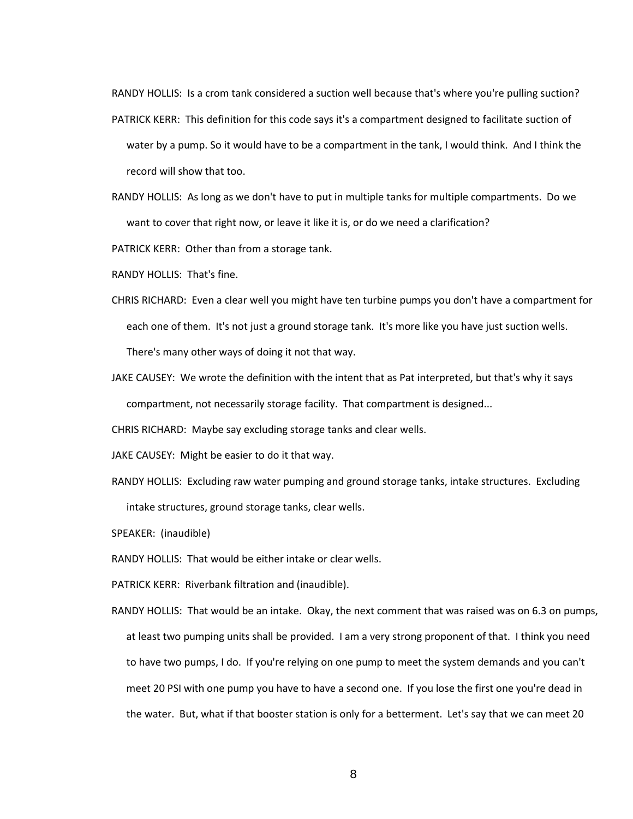RANDY HOLLIS: Is a crom tank considered a suction well because that's where you're pulling suction?

PATRICK KERR: This definition for this code says it's a compartment designed to facilitate suction of

- water by a pump. So it would have to be a compartment in the tank, I would think. And I think the record will show that too.
- RANDY HOLLIS: As long as we don't have to put in multiple tanks for multiple compartments. Do we want to cover that right now, or leave it like it is, or do we need a clarification?

PATRICK KERR: Other than from a storage tank.

RANDY HOLLIS: That's fine.

- CHRIS RICHARD: Even a clear well you might have ten turbine pumps you don't have a compartment for each one of them. It's not just a ground storage tank. It's more like you have just suction wells. There's many other ways of doing it not that way.
- JAKE CAUSEY: We wrote the definition with the intent that as Pat interpreted, but that's why it says compartment, not necessarily storage facility. That compartment is designed...

CHRIS RICHARD: Maybe say excluding storage tanks and clear wells.

JAKE CAUSEY: Might be easier to do it that way.

RANDY HOLLIS: Excluding raw water pumping and ground storage tanks, intake structures. Excluding intake structures, ground storage tanks, clear wells.

SPEAKER: (inaudible)

RANDY HOLLIS: That would be either intake or clear wells.

PATRICK KERR: Riverbank filtration and (inaudible).

RANDY HOLLIS: That would be an intake. Okay, the next comment that was raised was on 6.3 on pumps, at least two pumping units shall be provided. I am a very strong proponent of that. I think you need to have two pumps, I do. If you're relying on one pump to meet the system demands and you can't meet 20 PSI with one pump you have to have a second one. If you lose the first one you're dead in the water. But, what if that booster station is only for a betterment. Let's say that we can meet 20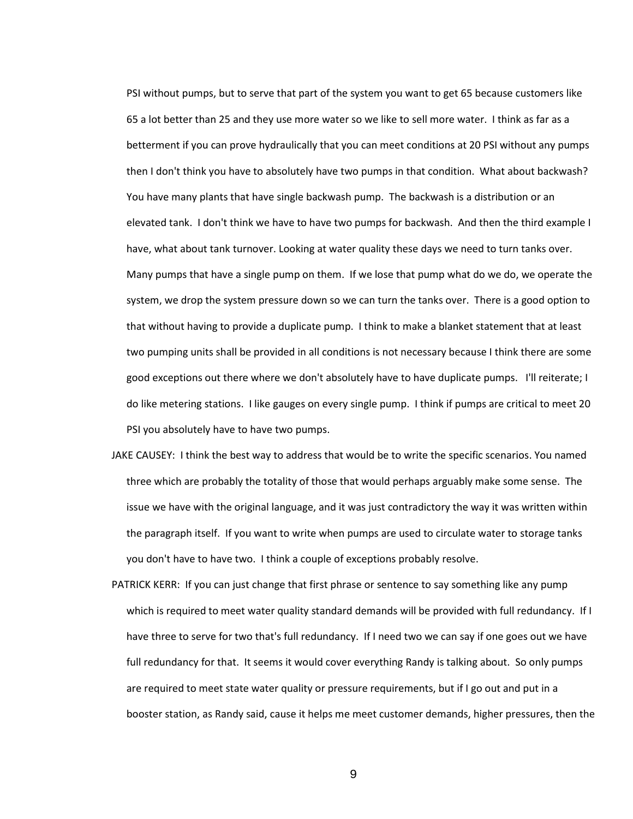PSI without pumps, but to serve that part of the system you want to get 65 because customers like 65 a lot better than 25 and they use more water so we like to sell more water. I think as far as a betterment if you can prove hydraulically that you can meet conditions at 20 PSI without any pumps then I don't think you have to absolutely have two pumps in that condition. What about backwash? You have many plants that have single backwash pump. The backwash is a distribution or an elevated tank. I don't think we have to have two pumps for backwash. And then the third example I have, what about tank turnover. Looking at water quality these days we need to turn tanks over. Many pumps that have a single pump on them. If we lose that pump what do we do, we operate the system, we drop the system pressure down so we can turn the tanks over. There is a good option to that without having to provide a duplicate pump. I think to make a blanket statement that at least two pumping units shall be provided in all conditions is not necessary because I think there are some good exceptions out there where we don't absolutely have to have duplicate pumps. I'll reiterate; I do like metering stations. I like gauges on every single pump. I think if pumps are critical to meet 20 PSI you absolutely have to have two pumps.

- JAKE CAUSEY: I think the best way to address that would be to write the specific scenarios. You named three which are probably the totality of those that would perhaps arguably make some sense. The issue we have with the original language, and it was just contradictory the way it was written within the paragraph itself. If you want to write when pumps are used to circulate water to storage tanks you don't have to have two. I think a couple of exceptions probably resolve.
- PATRICK KERR: If you can just change that first phrase or sentence to say something like any pump which is required to meet water quality standard demands will be provided with full redundancy. If I have three to serve for two that's full redundancy. If I need two we can say if one goes out we have full redundancy for that. It seems it would cover everything Randy is talking about. So only pumps are required to meet state water quality or pressure requirements, but if I go out and put in a booster station, as Randy said, cause it helps me meet customer demands, higher pressures, then the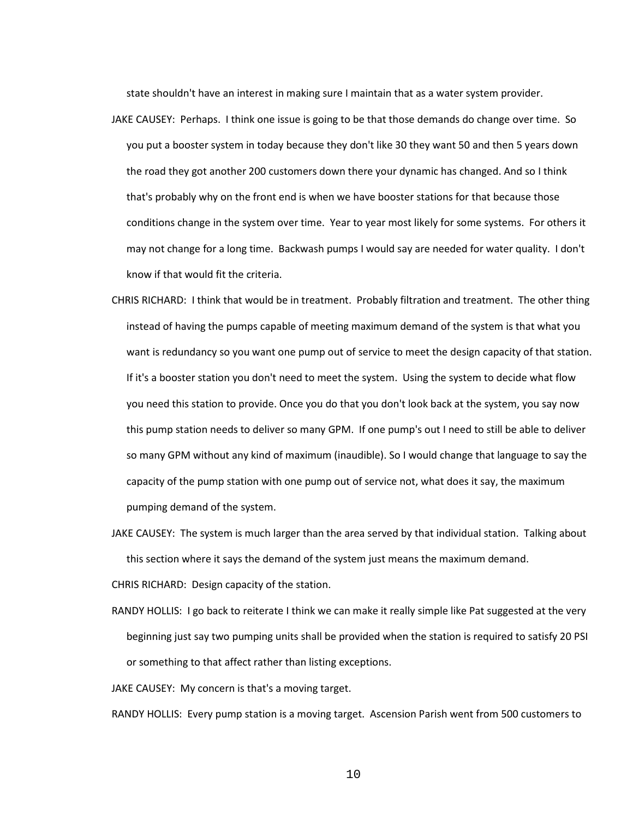state shouldn't have an interest in making sure I maintain that as a water system provider.

- JAKE CAUSEY: Perhaps. I think one issue is going to be that those demands do change over time. So you put a booster system in today because they don't like 30 they want 50 and then 5 years down the road they got another 200 customers down there your dynamic has changed. And so I think that's probably why on the front end is when we have booster stations for that because those conditions change in the system over time. Year to year most likely for some systems. For others it may not change for a long time. Backwash pumps I would say are needed for water quality. I don't know if that would fit the criteria.
- CHRIS RICHARD: I think that would be in treatment. Probably filtration and treatment. The other thing instead of having the pumps capable of meeting maximum demand of the system is that what you want is redundancy so you want one pump out of service to meet the design capacity of that station. If it's a booster station you don't need to meet the system. Using the system to decide what flow you need this station to provide. Once you do that you don't look back at the system, you say now this pump station needs to deliver so many GPM. If one pump's out I need to still be able to deliver so many GPM without any kind of maximum (inaudible). So I would change that language to say the capacity of the pump station with one pump out of service not, what does it say, the maximum pumping demand of the system.
- JAKE CAUSEY: The system is much larger than the area served by that individual station. Talking about this section where it says the demand of the system just means the maximum demand.

CHRIS RICHARD: Design capacity of the station.

RANDY HOLLIS: I go back to reiterate I think we can make it really simple like Pat suggested at the very beginning just say two pumping units shall be provided when the station is required to satisfy 20 PSI or something to that affect rather than listing exceptions.

JAKE CAUSEY: My concern is that's a moving target.

RANDY HOLLIS: Every pump station is a moving target. Ascension Parish went from 500 customers to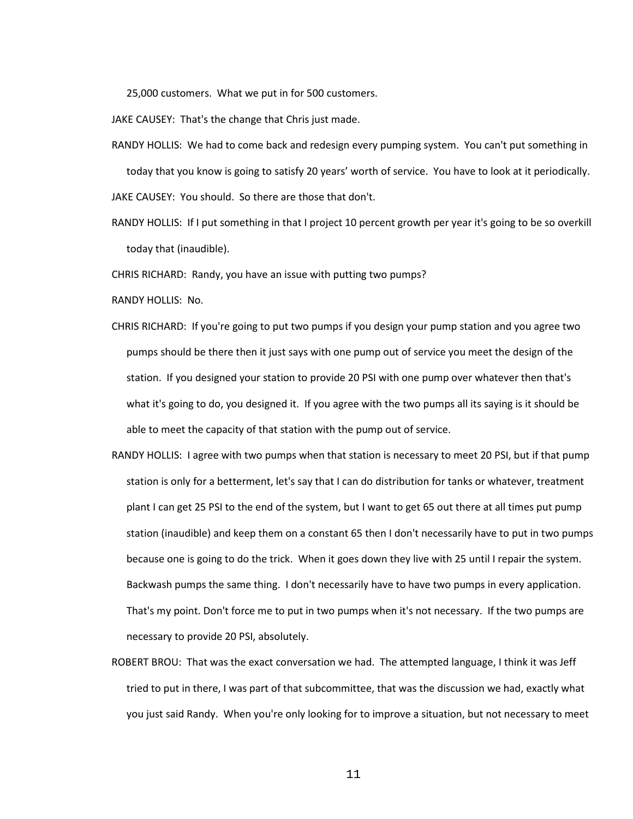25,000 customers. What we put in for 500 customers.

JAKE CAUSEY: That's the change that Chris just made.

- RANDY HOLLIS: We had to come back and redesign every pumping system. You can't put something in today that you know is going to satisfy 20 years' worth of service. You have to look at it periodically. JAKE CAUSEY: You should. So there are those that don't.
- RANDY HOLLIS: If I put something in that I project 10 percent growth per year it's going to be so overkill today that (inaudible).

CHRIS RICHARD: Randy, you have an issue with putting two pumps?

RANDY HOLLIS: No.

- CHRIS RICHARD: If you're going to put two pumps if you design your pump station and you agree two pumps should be there then it just says with one pump out of service you meet the design of the station. If you designed your station to provide 20 PSI with one pump over whatever then that's what it's going to do, you designed it. If you agree with the two pumps all its saying is it should be able to meet the capacity of that station with the pump out of service.
- RANDY HOLLIS: I agree with two pumps when that station is necessary to meet 20 PSI, but if that pump station is only for a betterment, let's say that I can do distribution for tanks or whatever, treatment plant I can get 25 PSI to the end of the system, but I want to get 65 out there at all times put pump station (inaudible) and keep them on a constant 65 then I don't necessarily have to put in two pumps because one is going to do the trick. When it goes down they live with 25 until I repair the system. Backwash pumps the same thing. I don't necessarily have to have two pumps in every application. That's my point. Don't force me to put in two pumps when it's not necessary. If the two pumps are necessary to provide 20 PSI, absolutely.
- ROBERT BROU: That was the exact conversation we had. The attempted language, I think it was Jeff tried to put in there, I was part of that subcommittee, that was the discussion we had, exactly what you just said Randy. When you're only looking for to improve a situation, but not necessary to meet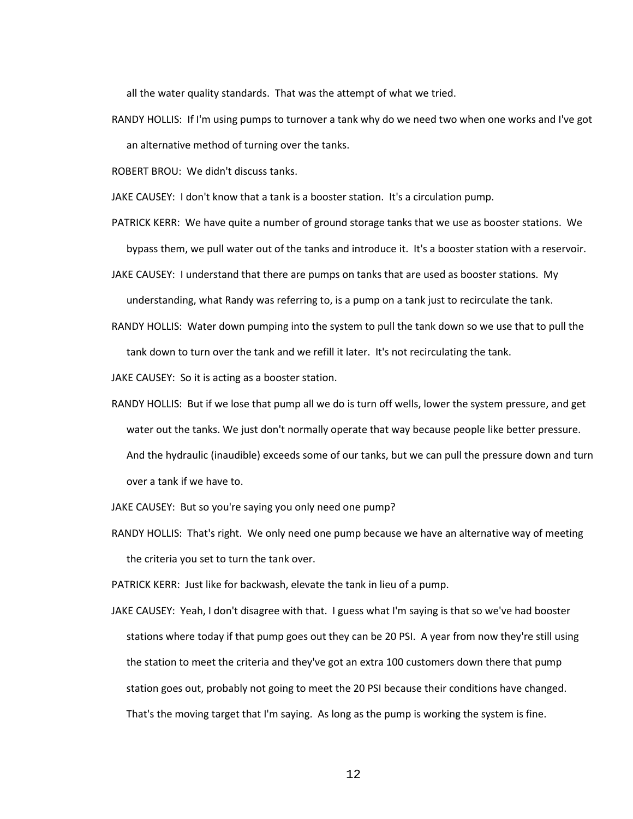all the water quality standards. That was the attempt of what we tried.

RANDY HOLLIS: If I'm using pumps to turnover a tank why do we need two when one works and I've got an alternative method of turning over the tanks.

ROBERT BROU: We didn't discuss tanks.

JAKE CAUSEY: I don't know that a tank is a booster station. It's a circulation pump.

- PATRICK KERR: We have quite a number of ground storage tanks that we use as booster stations. We bypass them, we pull water out of the tanks and introduce it. It's a booster station with a reservoir.
- JAKE CAUSEY: I understand that there are pumps on tanks that are used as booster stations. My understanding, what Randy was referring to, is a pump on a tank just to recirculate the tank.
- RANDY HOLLIS: Water down pumping into the system to pull the tank down so we use that to pull the tank down to turn over the tank and we refill it later. It's not recirculating the tank.

JAKE CAUSEY: So it is acting as a booster station.

RANDY HOLLIS: But if we lose that pump all we do is turn off wells, lower the system pressure, and get water out the tanks. We just don't normally operate that way because people like better pressure. And the hydraulic (inaudible) exceeds some of our tanks, but we can pull the pressure down and turn over a tank if we have to.

JAKE CAUSEY: But so you're saying you only need one pump?

RANDY HOLLIS: That's right. We only need one pump because we have an alternative way of meeting the criteria you set to turn the tank over.

PATRICK KERR: Just like for backwash, elevate the tank in lieu of a pump.

JAKE CAUSEY: Yeah, I don't disagree with that. I guess what I'm saying is that so we've had booster stations where today if that pump goes out they can be 20 PSI. A year from now they're still using the station to meet the criteria and they've got an extra 100 customers down there that pump station goes out, probably not going to meet the 20 PSI because their conditions have changed. That's the moving target that I'm saying. As long as the pump is working the system is fine.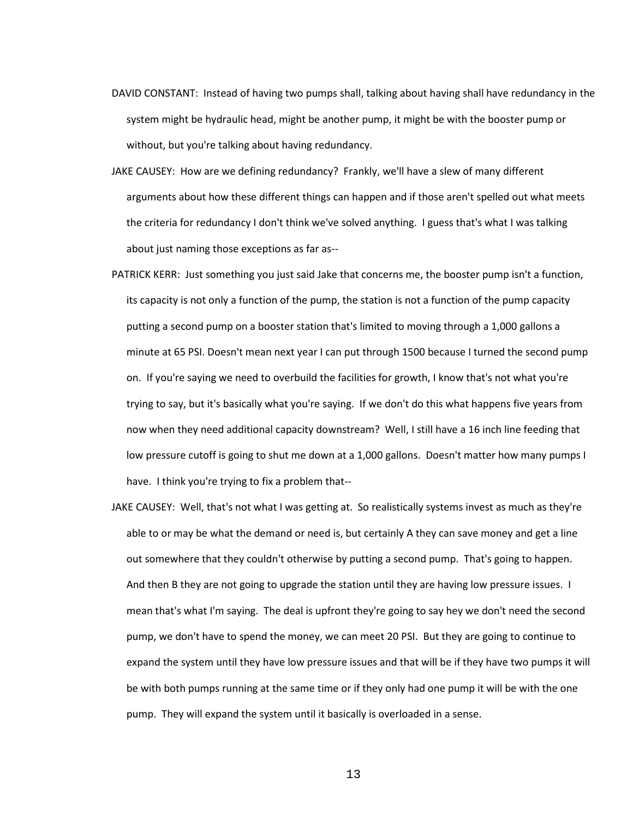- DAVID CONSTANT: Instead of having two pumps shall, talking about having shall have redundancy in the system might be hydraulic head, might be another pump, it might be with the booster pump or without, but you're talking about having redundancy.
- JAKE CAUSEY: How are we defining redundancy? Frankly, we'll have a slew of many different arguments about how these different things can happen and if those aren't spelled out what meets the criteria for redundancy I don't think we've solved anything. I guess that's what I was talking about just naming those exceptions as far as--
- PATRICK KERR: Just something you just said Jake that concerns me, the booster pump isn't a function, its capacity is not only a function of the pump, the station is not a function of the pump capacity putting a second pump on a booster station that's limited to moving through a 1,000 gallons a minute at 65 PSI. Doesn't mean next year I can put through 1500 because I turned the second pump on. If you're saying we need to overbuild the facilities for growth, I know that's not what you're trying to say, but it's basically what you're saying. If we don't do this what happens five years from now when they need additional capacity downstream? Well, I still have a 16 inch line feeding that low pressure cutoff is going to shut me down at a 1,000 gallons. Doesn't matter how many pumps I have. I think you're trying to fix a problem that--
- JAKE CAUSEY: Well, that's not what I was getting at. So realistically systems invest as much as they're able to or may be what the demand or need is, but certainly A they can save money and get a line out somewhere that they couldn't otherwise by putting a second pump. That's going to happen. And then B they are not going to upgrade the station until they are having low pressure issues. I mean that's what I'm saying. The deal is upfront they're going to say hey we don't need the second pump, we don't have to spend the money, we can meet 20 PSI. But they are going to continue to expand the system until they have low pressure issues and that will be if they have two pumps it will be with both pumps running at the same time or if they only had one pump it will be with the one pump. They will expand the system until it basically is overloaded in a sense.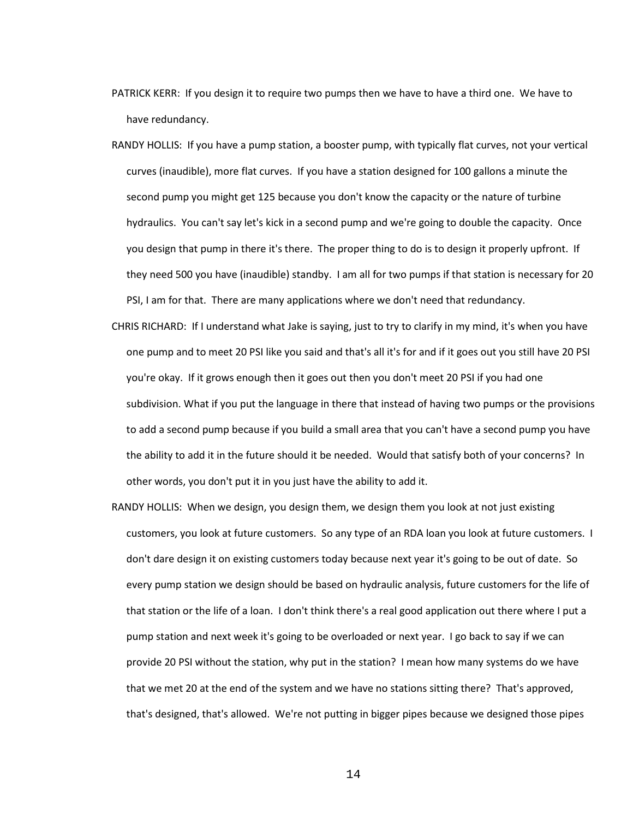- PATRICK KERR: If you design it to require two pumps then we have to have a third one. We have to have redundancy.
- RANDY HOLLIS: If you have a pump station, a booster pump, with typically flat curves, not your vertical curves (inaudible), more flat curves. If you have a station designed for 100 gallons a minute the second pump you might get 125 because you don't know the capacity or the nature of turbine hydraulics. You can't say let's kick in a second pump and we're going to double the capacity. Once you design that pump in there it's there. The proper thing to do is to design it properly upfront. If they need 500 you have (inaudible) standby. I am all for two pumps if that station is necessary for 20 PSI, I am for that. There are many applications where we don't need that redundancy.
- CHRIS RICHARD: If I understand what Jake is saying, just to try to clarify in my mind, it's when you have one pump and to meet 20 PSI like you said and that's all it's for and if it goes out you still have 20 PSI you're okay. If it grows enough then it goes out then you don't meet 20 PSI if you had one subdivision. What if you put the language in there that instead of having two pumps or the provisions to add a second pump because if you build a small area that you can't have a second pump you have the ability to add it in the future should it be needed. Would that satisfy both of your concerns? In other words, you don't put it in you just have the ability to add it.
- RANDY HOLLIS: When we design, you design them, we design them you look at not just existing customers, you look at future customers. So any type of an RDA loan you look at future customers. I don't dare design it on existing customers today because next year it's going to be out of date. So every pump station we design should be based on hydraulic analysis, future customers for the life of that station or the life of a loan. I don't think there's a real good application out there where I put a pump station and next week it's going to be overloaded or next year. I go back to say if we can provide 20 PSI without the station, why put in the station? I mean how many systems do we have that we met 20 at the end of the system and we have no stations sitting there? That's approved, that's designed, that's allowed. We're not putting in bigger pipes because we designed those pipes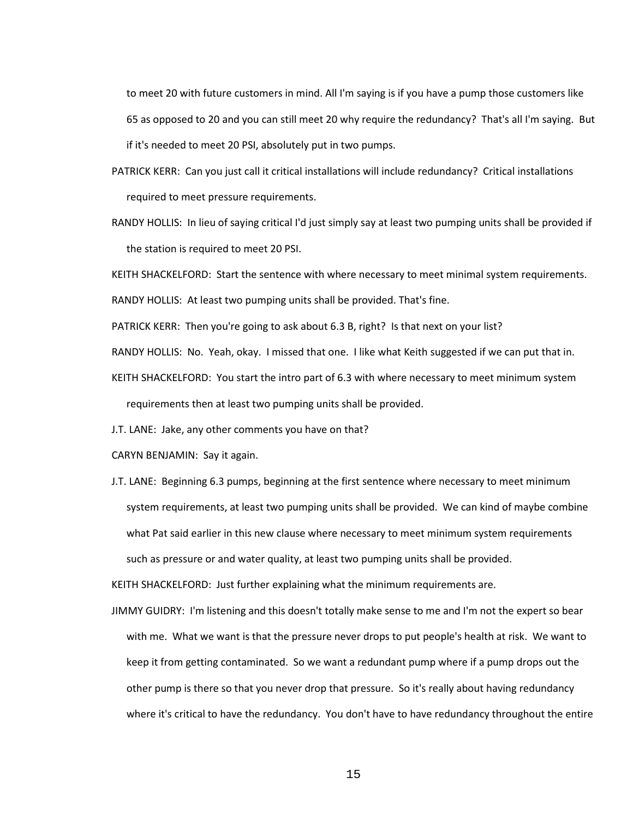to meet 20 with future customers in mind. All I'm saying is if you have a pump those customers like 65 as opposed to 20 and you can still meet 20 why require the redundancy? That's all I'm saying. But if it's needed to meet 20 PSI, absolutely put in two pumps.

- PATRICK KERR: Can you just call it critical installations will include redundancy? Critical installations required to meet pressure requirements.
- RANDY HOLLIS: In lieu of saying critical I'd just simply say at least two pumping units shall be provided if the station is required to meet 20 PSI.

KEITH SHACKELFORD: Start the sentence with where necessary to meet minimal system requirements. RANDY HOLLIS: At least two pumping units shall be provided. That's fine.

PATRICK KERR: Then you're going to ask about 6.3 B, right? Is that next on your list?

RANDY HOLLIS: No. Yeah, okay. I missed that one. I like what Keith suggested if we can put that in.

- KEITH SHACKELFORD: You start the intro part of 6.3 with where necessary to meet minimum system requirements then at least two pumping units shall be provided.
- J.T. LANE: Jake, any other comments you have on that?
- CARYN BENJAMIN: Say it again.
- J.T. LANE: Beginning 6.3 pumps, beginning at the first sentence where necessary to meet minimum system requirements, at least two pumping units shall be provided. We can kind of maybe combine what Pat said earlier in this new clause where necessary to meet minimum system requirements such as pressure or and water quality, at least two pumping units shall be provided.

KEITH SHACKELFORD: Just further explaining what the minimum requirements are.

JIMMY GUIDRY: I'm listening and this doesn't totally make sense to me and I'm not the expert so bear with me. What we want is that the pressure never drops to put people's health at risk. We want to keep it from getting contaminated. So we want a redundant pump where if a pump drops out the other pump is there so that you never drop that pressure. So it's really about having redundancy where it's critical to have the redundancy. You don't have to have redundancy throughout the entire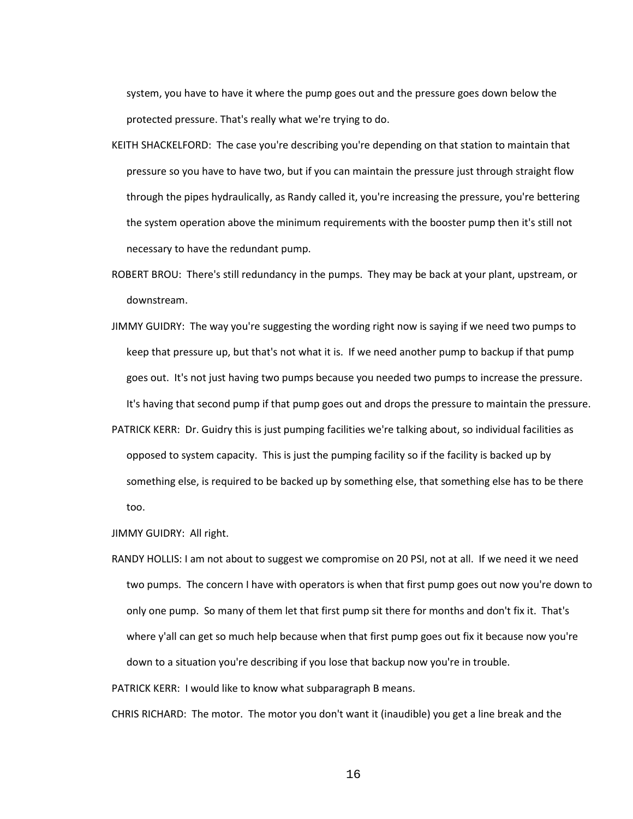system, you have to have it where the pump goes out and the pressure goes down below the protected pressure. That's really what we're trying to do.

- KEITH SHACKELFORD: The case you're describing you're depending on that station to maintain that pressure so you have to have two, but if you can maintain the pressure just through straight flow through the pipes hydraulically, as Randy called it, you're increasing the pressure, you're bettering the system operation above the minimum requirements with the booster pump then it's still not necessary to have the redundant pump.
- ROBERT BROU: There's still redundancy in the pumps. They may be back at your plant, upstream, or downstream.
- JIMMY GUIDRY: The way you're suggesting the wording right now is saying if we need two pumps to keep that pressure up, but that's not what it is. If we need another pump to backup if that pump goes out. It's not just having two pumps because you needed two pumps to increase the pressure. It's having that second pump if that pump goes out and drops the pressure to maintain the pressure.
- PATRICK KERR: Dr. Guidry this is just pumping facilities we're talking about, so individual facilities as opposed to system capacity. This is just the pumping facility so if the facility is backed up by something else, is required to be backed up by something else, that something else has to be there too.

JIMMY GUIDRY: All right.

RANDY HOLLIS: I am not about to suggest we compromise on 20 PSI, not at all. If we need it we need two pumps. The concern I have with operators is when that first pump goes out now you're down to only one pump. So many of them let that first pump sit there for months and don't fix it. That's where y'all can get so much help because when that first pump goes out fix it because now you're down to a situation you're describing if you lose that backup now you're in trouble.

PATRICK KERR: I would like to know what subparagraph B means.

CHRIS RICHARD: The motor. The motor you don't want it (inaudible) you get a line break and the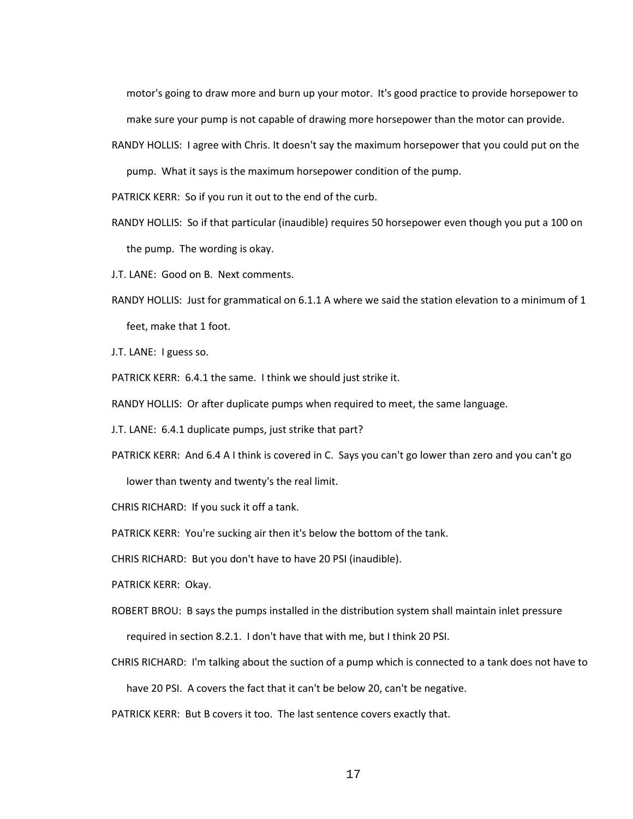motor's going to draw more and burn up your motor. It's good practice to provide horsepower to make sure your pump is not capable of drawing more horsepower than the motor can provide.

RANDY HOLLIS: I agree with Chris. It doesn't say the maximum horsepower that you could put on the pump. What it says is the maximum horsepower condition of the pump.

PATRICK KERR: So if you run it out to the end of the curb.

- RANDY HOLLIS: So if that particular (inaudible) requires 50 horsepower even though you put a 100 on the pump. The wording is okay.
- J.T. LANE: Good on B. Next comments.
- RANDY HOLLIS: Just for grammatical on 6.1.1 A where we said the station elevation to a minimum of 1 feet, make that 1 foot.
- J.T. LANE: I guess so.
- PATRICK KERR: 6.4.1 the same. I think we should just strike it.
- RANDY HOLLIS: Or after duplicate pumps when required to meet, the same language.
- J.T. LANE: 6.4.1 duplicate pumps, just strike that part?
- PATRICK KERR: And 6.4 A I think is covered in C. Says you can't go lower than zero and you can't go lower than twenty and twenty's the real limit.

CHRIS RICHARD: If you suck it off a tank.

PATRICK KERR: You're sucking air then it's below the bottom of the tank.

CHRIS RICHARD: But you don't have to have 20 PSI (inaudible).

PATRICK KERR: Okay.

ROBERT BROU: B says the pumps installed in the distribution system shall maintain inlet pressure

required in section 8.2.1. I don't have that with me, but I think 20 PSI.

CHRIS RICHARD: I'm talking about the suction of a pump which is connected to a tank does not have to

have 20 PSI. A covers the fact that it can't be below 20, can't be negative.

PATRICK KERR: But B covers it too. The last sentence covers exactly that.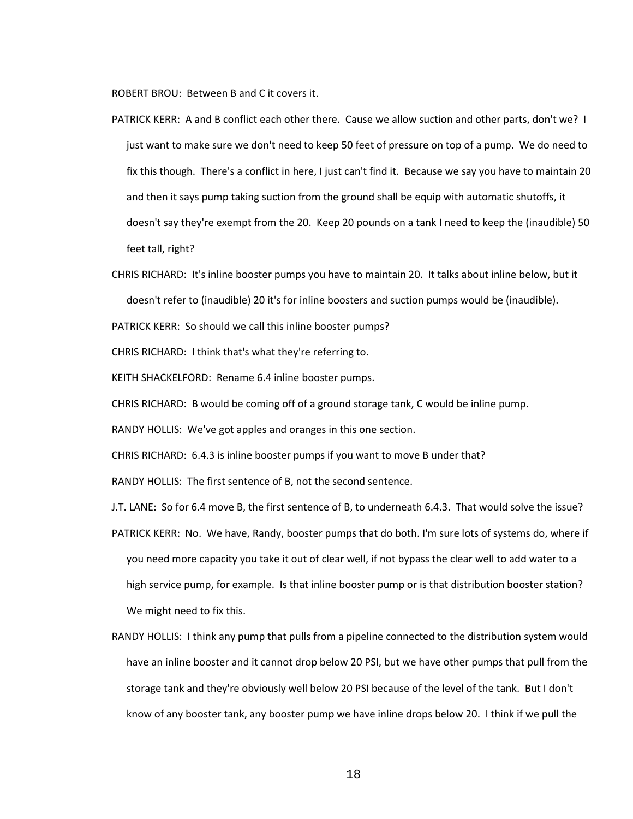ROBERT BROU: Between B and C it covers it.

- PATRICK KERR: A and B conflict each other there. Cause we allow suction and other parts, don't we? I just want to make sure we don't need to keep 50 feet of pressure on top of a pump. We do need to fix this though. There's a conflict in here, I just can't find it. Because we say you have to maintain 20 and then it says pump taking suction from the ground shall be equip with automatic shutoffs, it doesn't say they're exempt from the 20. Keep 20 pounds on a tank I need to keep the (inaudible) 50 feet tall, right?
- CHRIS RICHARD: It's inline booster pumps you have to maintain 20. It talks about inline below, but it doesn't refer to (inaudible) 20 it's for inline boosters and suction pumps would be (inaudible).

PATRICK KERR: So should we call this inline booster pumps?

CHRIS RICHARD: I think that's what they're referring to.

KEITH SHACKELFORD: Rename 6.4 inline booster pumps.

CHRIS RICHARD: B would be coming off of a ground storage tank, C would be inline pump.

RANDY HOLLIS: We've got apples and oranges in this one section.

CHRIS RICHARD: 6.4.3 is inline booster pumps if you want to move B under that?

RANDY HOLLIS: The first sentence of B, not the second sentence.

- J.T. LANE: So for 6.4 move B, the first sentence of B, to underneath 6.4.3. That would solve the issue?
- PATRICK KERR: No. We have, Randy, booster pumps that do both. I'm sure lots of systems do, where if you need more capacity you take it out of clear well, if not bypass the clear well to add water to a high service pump, for example. Is that inline booster pump or is that distribution booster station? We might need to fix this.
- RANDY HOLLIS: I think any pump that pulls from a pipeline connected to the distribution system would have an inline booster and it cannot drop below 20 PSI, but we have other pumps that pull from the storage tank and they're obviously well below 20 PSI because of the level of the tank. But I don't know of any booster tank, any booster pump we have inline drops below 20. I think if we pull the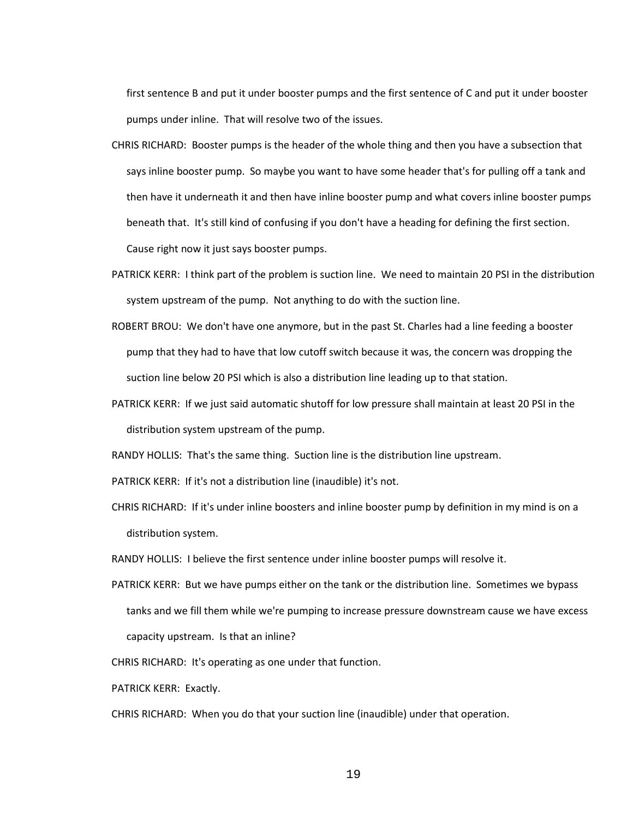first sentence B and put it under booster pumps and the first sentence of C and put it under booster pumps under inline. That will resolve two of the issues.

CHRIS RICHARD: Booster pumps is the header of the whole thing and then you have a subsection that says inline booster pump. So maybe you want to have some header that's for pulling off a tank and then have it underneath it and then have inline booster pump and what covers inline booster pumps beneath that. It's still kind of confusing if you don't have a heading for defining the first section. Cause right now it just says booster pumps.

PATRICK KERR: I think part of the problem is suction line. We need to maintain 20 PSI in the distribution

system upstream of the pump. Not anything to do with the suction line.

- ROBERT BROU: We don't have one anymore, but in the past St. Charles had a line feeding a booster pump that they had to have that low cutoff switch because it was, the concern was dropping the suction line below 20 PSI which is also a distribution line leading up to that station.
- PATRICK KERR: If we just said automatic shutoff for low pressure shall maintain at least 20 PSI in the distribution system upstream of the pump.

RANDY HOLLIS: That's the same thing. Suction line is the distribution line upstream.

PATRICK KERR: If it's not a distribution line (inaudible) it's not.

CHRIS RICHARD: If it's under inline boosters and inline booster pump by definition in my mind is on a distribution system.

RANDY HOLLIS: I believe the first sentence under inline booster pumps will resolve it.

PATRICK KERR: But we have pumps either on the tank or the distribution line. Sometimes we bypass tanks and we fill them while we're pumping to increase pressure downstream cause we have excess capacity upstream. Is that an inline?

CHRIS RICHARD: It's operating as one under that function.

PATRICK KERR: Exactly.

CHRIS RICHARD: When you do that your suction line (inaudible) under that operation.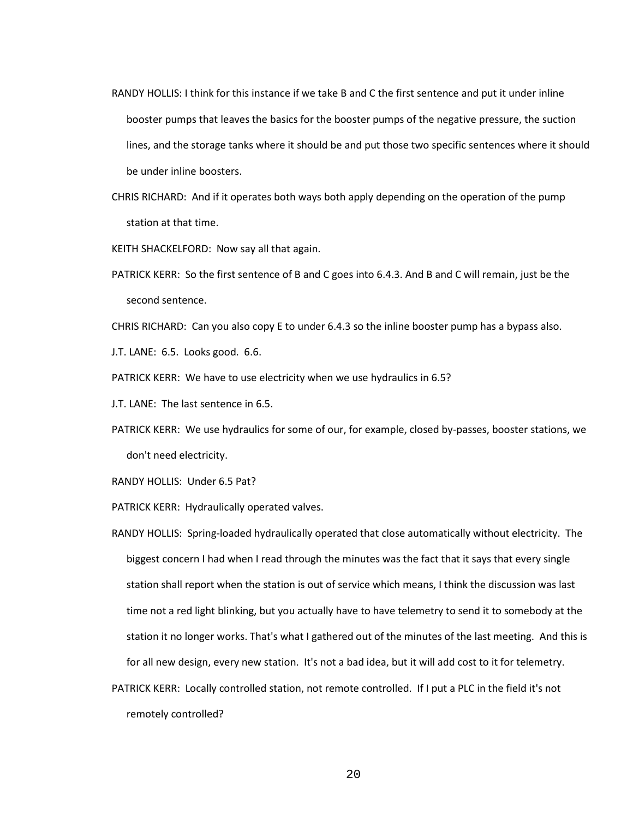- RANDY HOLLIS: I think for this instance if we take B and C the first sentence and put it under inline booster pumps that leaves the basics for the booster pumps of the negative pressure, the suction lines, and the storage tanks where it should be and put those two specific sentences where it should be under inline boosters.
- CHRIS RICHARD: And if it operates both ways both apply depending on the operation of the pump station at that time.

KEITH SHACKELFORD: Now say all that again.

- PATRICK KERR: So the first sentence of B and C goes into 6.4.3. And B and C will remain, just be the second sentence.
- CHRIS RICHARD: Can you also copy E to under 6.4.3 so the inline booster pump has a bypass also.
- J.T. LANE: 6.5. Looks good. 6.6.
- PATRICK KERR: We have to use electricity when we use hydraulics in 6.5?
- J.T. LANE: The last sentence in 6.5.
- PATRICK KERR: We use hydraulics for some of our, for example, closed by-passes, booster stations, we don't need electricity.
- RANDY HOLLIS: Under 6.5 Pat?
- PATRICK KERR: Hydraulically operated valves.
- RANDY HOLLIS: Spring-loaded hydraulically operated that close automatically without electricity. The biggest concern I had when I read through the minutes was the fact that it says that every single station shall report when the station is out of service which means, I think the discussion was last time not a red light blinking, but you actually have to have telemetry to send it to somebody at the station it no longer works. That's what I gathered out of the minutes of the last meeting. And this is for all new design, every new station. It's not a bad idea, but it will add cost to it for telemetry.
- PATRICK KERR: Locally controlled station, not remote controlled. If I put a PLC in the field it's not remotely controlled?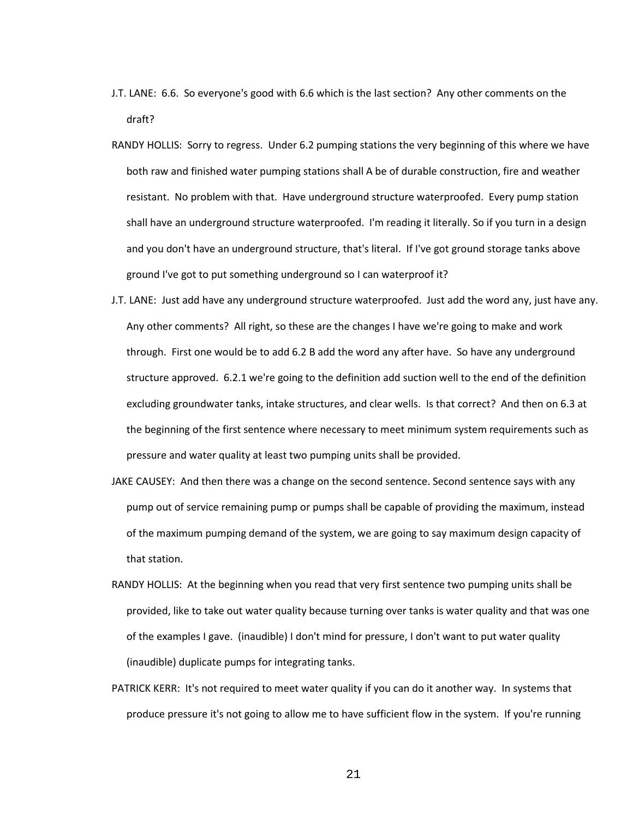- J.T. LANE: 6.6. So everyone's good with 6.6 which is the last section? Any other comments on the draft?
- RANDY HOLLIS: Sorry to regress. Under 6.2 pumping stations the very beginning of this where we have both raw and finished water pumping stations shall A be of durable construction, fire and weather resistant. No problem with that. Have underground structure waterproofed. Every pump station shall have an underground structure waterproofed. I'm reading it literally. So if you turn in a design and you don't have an underground structure, that's literal. If I've got ground storage tanks above ground I've got to put something underground so I can waterproof it?
- J.T. LANE: Just add have any underground structure waterproofed. Just add the word any, just have any. Any other comments? All right, so these are the changes I have we're going to make and work through. First one would be to add 6.2 B add the word any after have. So have any underground structure approved. 6.2.1 we're going to the definition add suction well to the end of the definition excluding groundwater tanks, intake structures, and clear wells. Is that correct? And then on 6.3 at the beginning of the first sentence where necessary to meet minimum system requirements such as pressure and water quality at least two pumping units shall be provided.
- JAKE CAUSEY: And then there was a change on the second sentence. Second sentence says with any pump out of service remaining pump or pumps shall be capable of providing the maximum, instead of the maximum pumping demand of the system, we are going to say maximum design capacity of that station.
- RANDY HOLLIS: At the beginning when you read that very first sentence two pumping units shall be provided, like to take out water quality because turning over tanks is water quality and that was one of the examples I gave. (inaudible) I don't mind for pressure, I don't want to put water quality (inaudible) duplicate pumps for integrating tanks.
- PATRICK KERR: It's not required to meet water quality if you can do it another way. In systems that produce pressure it's not going to allow me to have sufficient flow in the system. If you're running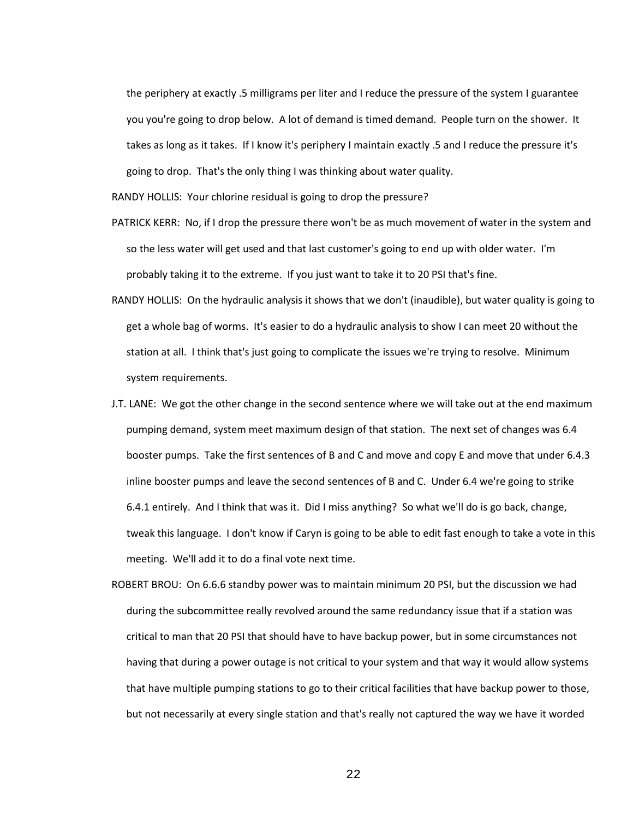the periphery at exactly .5 milligrams per liter and I reduce the pressure of the system I guarantee you you're going to drop below. A lot of demand is timed demand. People turn on the shower. It takes as long as it takes. If I know it's periphery I maintain exactly .5 and I reduce the pressure it's going to drop. That's the only thing I was thinking about water quality.

RANDY HOLLIS: Your chlorine residual is going to drop the pressure?

- PATRICK KERR: No, if I drop the pressure there won't be as much movement of water in the system and so the less water will get used and that last customer's going to end up with older water. I'm probably taking it to the extreme. If you just want to take it to 20 PSI that's fine.
- RANDY HOLLIS: On the hydraulic analysis it shows that we don't (inaudible), but water quality is going to get a whole bag of worms. It's easier to do a hydraulic analysis to show I can meet 20 without the station at all. I think that's just going to complicate the issues we're trying to resolve. Minimum system requirements.
- J.T. LANE: We got the other change in the second sentence where we will take out at the end maximum pumping demand, system meet maximum design of that station. The next set of changes was 6.4 booster pumps. Take the first sentences of B and C and move and copy E and move that under 6.4.3 inline booster pumps and leave the second sentences of B and C. Under 6.4 we're going to strike 6.4.1 entirely. And I think that was it. Did I miss anything? So what we'll do is go back, change, tweak this language. I don't know if Caryn is going to be able to edit fast enough to take a vote in this meeting. We'll add it to do a final vote next time.
- ROBERT BROU: On 6.6.6 standby power was to maintain minimum 20 PSI, but the discussion we had during the subcommittee really revolved around the same redundancy issue that if a station was critical to man that 20 PSI that should have to have backup power, but in some circumstances not having that during a power outage is not critical to your system and that way it would allow systems that have multiple pumping stations to go to their critical facilities that have backup power to those, but not necessarily at every single station and that's really not captured the way we have it worded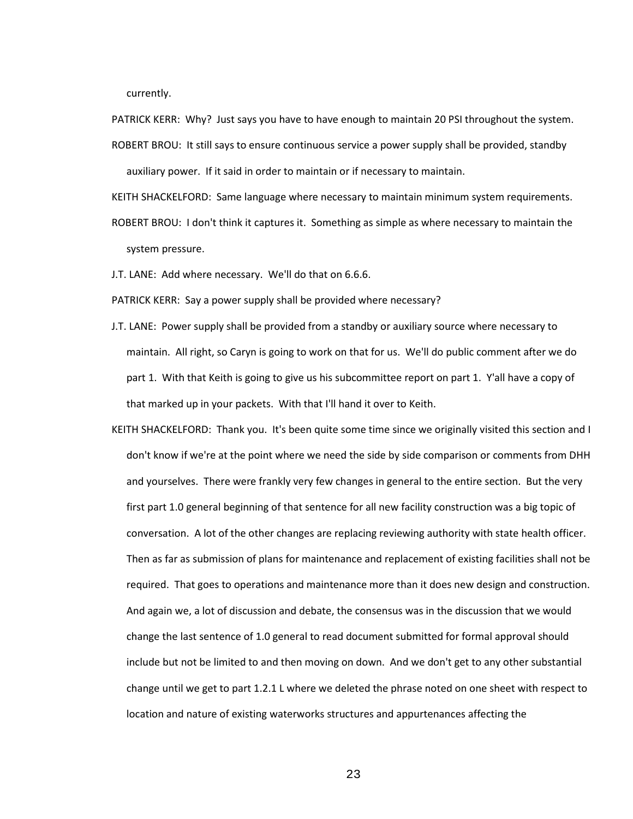currently.

PATRICK KERR: Why? Just says you have to have enough to maintain 20 PSI throughout the system.

ROBERT BROU: It still says to ensure continuous service a power supply shall be provided, standby auxiliary power. If it said in order to maintain or if necessary to maintain.

KEITH SHACKELFORD: Same language where necessary to maintain minimum system requirements.

ROBERT BROU: I don't think it captures it. Something as simple as where necessary to maintain the system pressure.

J.T. LANE: Add where necessary. We'll do that on 6.6.6.

PATRICK KERR: Say a power supply shall be provided where necessary?

- J.T. LANE: Power supply shall be provided from a standby or auxiliary source where necessary to maintain. All right, so Caryn is going to work on that for us. We'll do public comment after we do part 1. With that Keith is going to give us his subcommittee report on part 1. Y'all have a copy of that marked up in your packets. With that I'll hand it over to Keith.
- KEITH SHACKELFORD: Thank you. It's been quite some time since we originally visited this section and I don't know if we're at the point where we need the side by side comparison or comments from DHH and yourselves. There were frankly very few changes in general to the entire section. But the very first part 1.0 general beginning of that sentence for all new facility construction was a big topic of conversation. A lot of the other changes are replacing reviewing authority with state health officer. Then as far as submission of plans for maintenance and replacement of existing facilities shall not be required. That goes to operations and maintenance more than it does new design and construction. And again we, a lot of discussion and debate, the consensus was in the discussion that we would change the last sentence of 1.0 general to read document submitted for formal approval should include but not be limited to and then moving on down. And we don't get to any other substantial change until we get to part 1.2.1 L where we deleted the phrase noted on one sheet with respect to location and nature of existing waterworks structures and appurtenances affecting the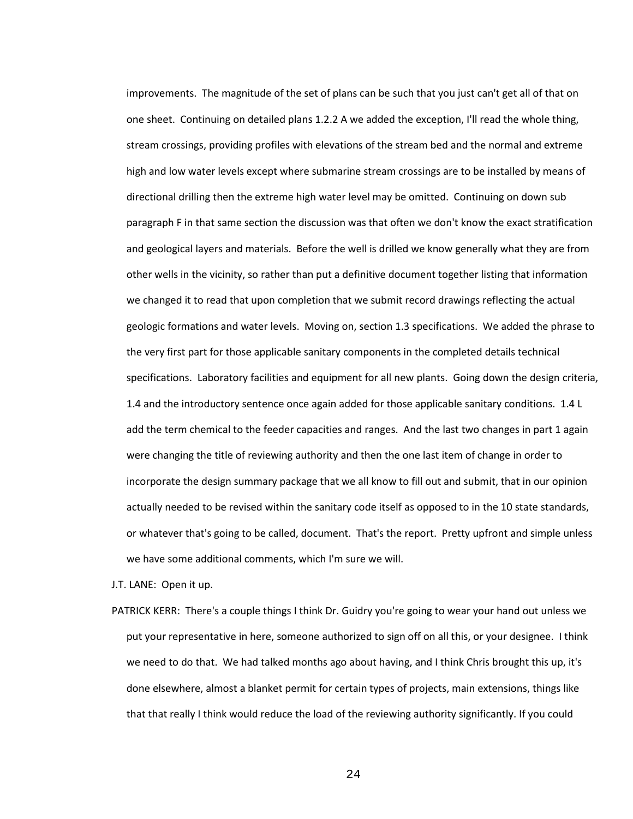improvements. The magnitude of the set of plans can be such that you just can't get all of that on one sheet. Continuing on detailed plans 1.2.2 A we added the exception, I'll read the whole thing, stream crossings, providing profiles with elevations of the stream bed and the normal and extreme high and low water levels except where submarine stream crossings are to be installed by means of directional drilling then the extreme high water level may be omitted. Continuing on down sub paragraph F in that same section the discussion was that often we don't know the exact stratification and geological layers and materials. Before the well is drilled we know generally what they are from other wells in the vicinity, so rather than put a definitive document together listing that information we changed it to read that upon completion that we submit record drawings reflecting the actual geologic formations and water levels. Moving on, section 1.3 specifications. We added the phrase to the very first part for those applicable sanitary components in the completed details technical specifications. Laboratory facilities and equipment for all new plants. Going down the design criteria, 1.4 and the introductory sentence once again added for those applicable sanitary conditions. 1.4 L add the term chemical to the feeder capacities and ranges. And the last two changes in part 1 again were changing the title of reviewing authority and then the one last item of change in order to incorporate the design summary package that we all know to fill out and submit, that in our opinion actually needed to be revised within the sanitary code itself as opposed to in the 10 state standards, or whatever that's going to be called, document. That's the report. Pretty upfront and simple unless we have some additional comments, which I'm sure we will.

J.T. LANE: Open it up.

PATRICK KERR: There's a couple things I think Dr. Guidry you're going to wear your hand out unless we put your representative in here, someone authorized to sign off on all this, or your designee. I think we need to do that. We had talked months ago about having, and I think Chris brought this up, it's done elsewhere, almost a blanket permit for certain types of projects, main extensions, things like that that really I think would reduce the load of the reviewing authority significantly. If you could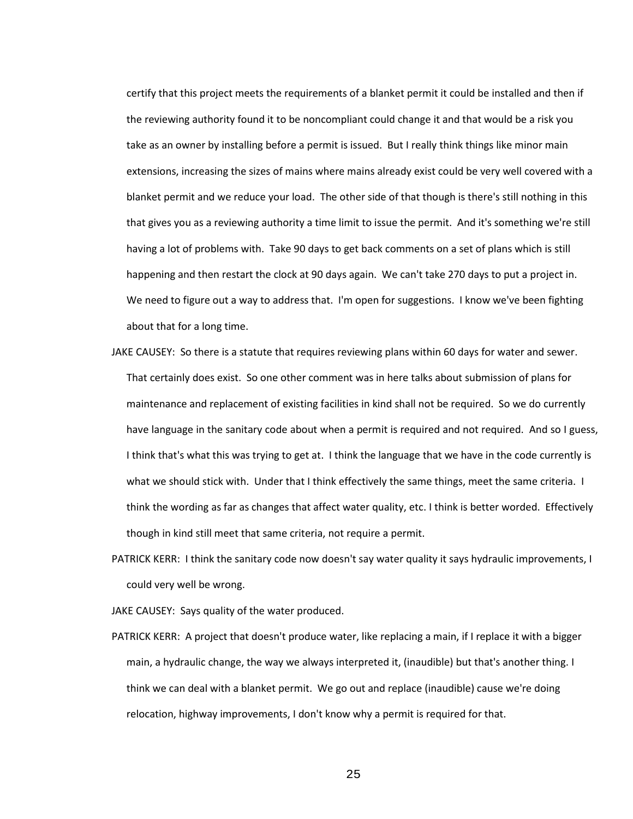certify that this project meets the requirements of a blanket permit it could be installed and then if the reviewing authority found it to be noncompliant could change it and that would be a risk you take as an owner by installing before a permit is issued. But I really think things like minor main extensions, increasing the sizes of mains where mains already exist could be very well covered with a blanket permit and we reduce your load. The other side of that though is there's still nothing in this that gives you as a reviewing authority a time limit to issue the permit. And it's something we're still having a lot of problems with. Take 90 days to get back comments on a set of plans which is still happening and then restart the clock at 90 days again. We can't take 270 days to put a project in. We need to figure out a way to address that. I'm open for suggestions. I know we've been fighting about that for a long time.

- JAKE CAUSEY: So there is a statute that requires reviewing plans within 60 days for water and sewer. That certainly does exist. So one other comment was in here talks about submission of plans for maintenance and replacement of existing facilities in kind shall not be required. So we do currently have language in the sanitary code about when a permit is required and not required. And so I guess, I think that's what this was trying to get at. I think the language that we have in the code currently is what we should stick with. Under that I think effectively the same things, meet the same criteria. I think the wording as far as changes that affect water quality, etc. I think is better worded. Effectively though in kind still meet that same criteria, not require a permit.
- PATRICK KERR: I think the sanitary code now doesn't say water quality it says hydraulic improvements, I could very well be wrong.

JAKE CAUSEY: Says quality of the water produced.

PATRICK KERR: A project that doesn't produce water, like replacing a main, if I replace it with a bigger main, a hydraulic change, the way we always interpreted it, (inaudible) but that's another thing. I think we can deal with a blanket permit. We go out and replace (inaudible) cause we're doing relocation, highway improvements, I don't know why a permit is required for that.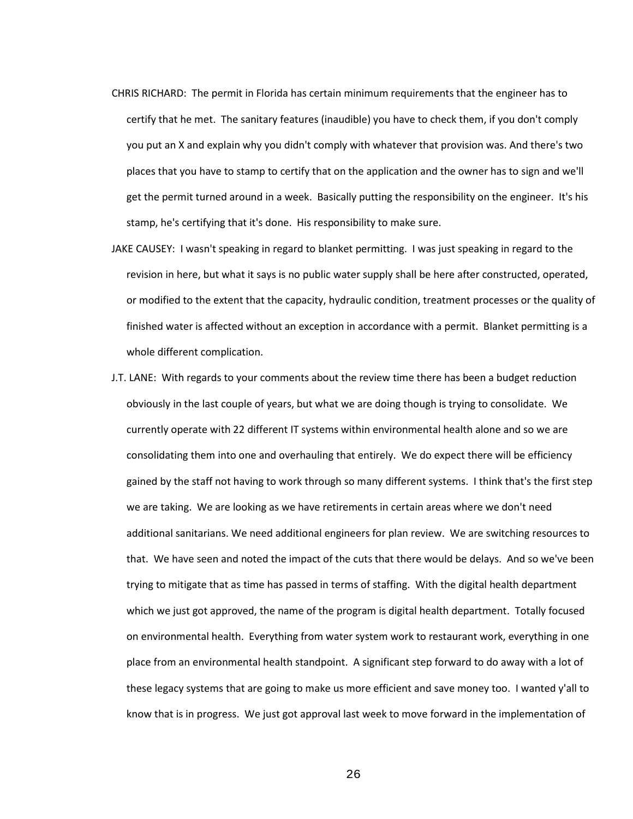- CHRIS RICHARD: The permit in Florida has certain minimum requirements that the engineer has to certify that he met. The sanitary features (inaudible) you have to check them, if you don't comply you put an X and explain why you didn't comply with whatever that provision was. And there's two places that you have to stamp to certify that on the application and the owner has to sign and we'll get the permit turned around in a week. Basically putting the responsibility on the engineer. It's his stamp, he's certifying that it's done. His responsibility to make sure.
- JAKE CAUSEY: I wasn't speaking in regard to blanket permitting. I was just speaking in regard to the revision in here, but what it says is no public water supply shall be here after constructed, operated, or modified to the extent that the capacity, hydraulic condition, treatment processes or the quality of finished water is affected without an exception in accordance with a permit. Blanket permitting is a whole different complication.
- J.T. LANE: With regards to your comments about the review time there has been a budget reduction obviously in the last couple of years, but what we are doing though is trying to consolidate. We currently operate with 22 different IT systems within environmental health alone and so we are consolidating them into one and overhauling that entirely. We do expect there will be efficiency gained by the staff not having to work through so many different systems. I think that's the first step we are taking. We are looking as we have retirements in certain areas where we don't need additional sanitarians. We need additional engineers for plan review. We are switching resources to that. We have seen and noted the impact of the cuts that there would be delays. And so we've been trying to mitigate that as time has passed in terms of staffing. With the digital health department which we just got approved, the name of the program is digital health department. Totally focused on environmental health. Everything from water system work to restaurant work, everything in one place from an environmental health standpoint. A significant step forward to do away with a lot of these legacy systems that are going to make us more efficient and save money too. I wanted y'all to know that is in progress. We just got approval last week to move forward in the implementation of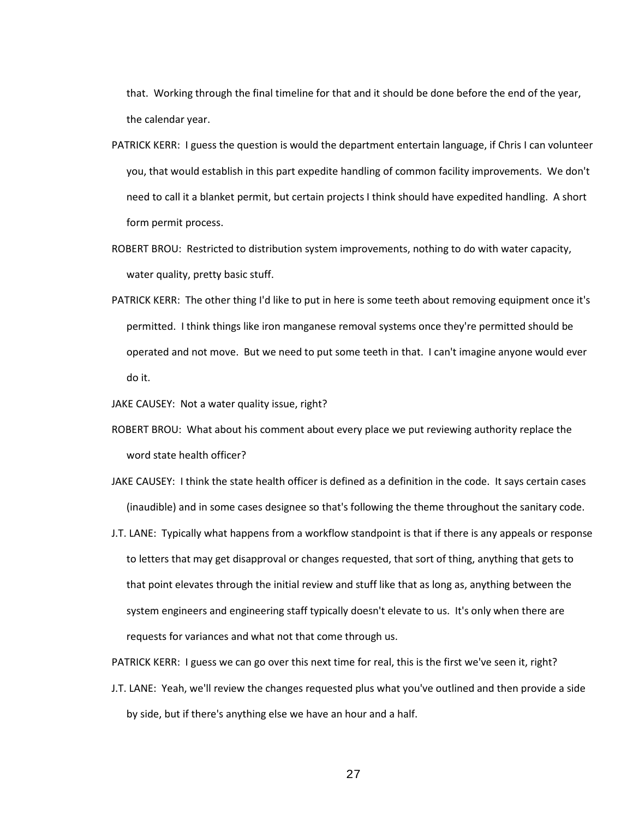that. Working through the final timeline for that and it should be done before the end of the year, the calendar year.

- PATRICK KERR: I guess the question is would the department entertain language, if Chris I can volunteer you, that would establish in this part expedite handling of common facility improvements. We don't need to call it a blanket permit, but certain projects I think should have expedited handling. A short form permit process.
- ROBERT BROU: Restricted to distribution system improvements, nothing to do with water capacity, water quality, pretty basic stuff.
- PATRICK KERR: The other thing I'd like to put in here is some teeth about removing equipment once it's permitted. I think things like iron manganese removal systems once they're permitted should be operated and not move. But we need to put some teeth in that. I can't imagine anyone would ever do it.

JAKE CAUSEY: Not a water quality issue, right?

- ROBERT BROU: What about his comment about every place we put reviewing authority replace the word state health officer?
- JAKE CAUSEY: I think the state health officer is defined as a definition in the code. It says certain cases (inaudible) and in some cases designee so that's following the theme throughout the sanitary code.
- J.T. LANE: Typically what happens from a workflow standpoint is that if there is any appeals or response to letters that may get disapproval or changes requested, that sort of thing, anything that gets to that point elevates through the initial review and stuff like that as long as, anything between the system engineers and engineering staff typically doesn't elevate to us. It's only when there are requests for variances and what not that come through us.

PATRICK KERR: I guess we can go over this next time for real, this is the first we've seen it, right?

J.T. LANE: Yeah, we'll review the changes requested plus what you've outlined and then provide a side by side, but if there's anything else we have an hour and a half.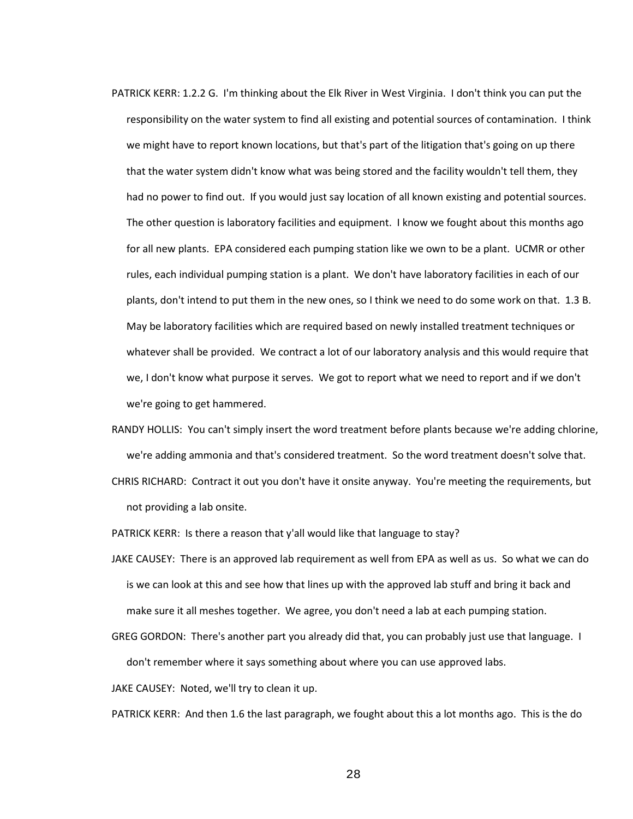- PATRICK KERR: 1.2.2 G. I'm thinking about the Elk River in West Virginia. I don't think you can put the responsibility on the water system to find all existing and potential sources of contamination. I think we might have to report known locations, but that's part of the litigation that's going on up there that the water system didn't know what was being stored and the facility wouldn't tell them, they had no power to find out. If you would just say location of all known existing and potential sources. The other question is laboratory facilities and equipment. I know we fought about this months ago for all new plants. EPA considered each pumping station like we own to be a plant. UCMR or other rules, each individual pumping station is a plant. We don't have laboratory facilities in each of our plants, don't intend to put them in the new ones, so I think we need to do some work on that. 1.3 B. May be laboratory facilities which are required based on newly installed treatment techniques or whatever shall be provided. We contract a lot of our laboratory analysis and this would require that we, I don't know what purpose it serves. We got to report what we need to report and if we don't we're going to get hammered.
- RANDY HOLLIS: You can't simply insert the word treatment before plants because we're adding chlorine, we're adding ammonia and that's considered treatment. So the word treatment doesn't solve that.
- CHRIS RICHARD: Contract it out you don't have it onsite anyway. You're meeting the requirements, but not providing a lab onsite.
- PATRICK KERR: Is there a reason that y'all would like that language to stay?
- JAKE CAUSEY: There is an approved lab requirement as well from EPA as well as us. So what we can do is we can look at this and see how that lines up with the approved lab stuff and bring it back and make sure it all meshes together. We agree, you don't need a lab at each pumping station.
- GREG GORDON: There's another part you already did that, you can probably just use that language. I don't remember where it says something about where you can use approved labs.

JAKE CAUSEY: Noted, we'll try to clean it up.

PATRICK KERR: And then 1.6 the last paragraph, we fought about this a lot months ago. This is the do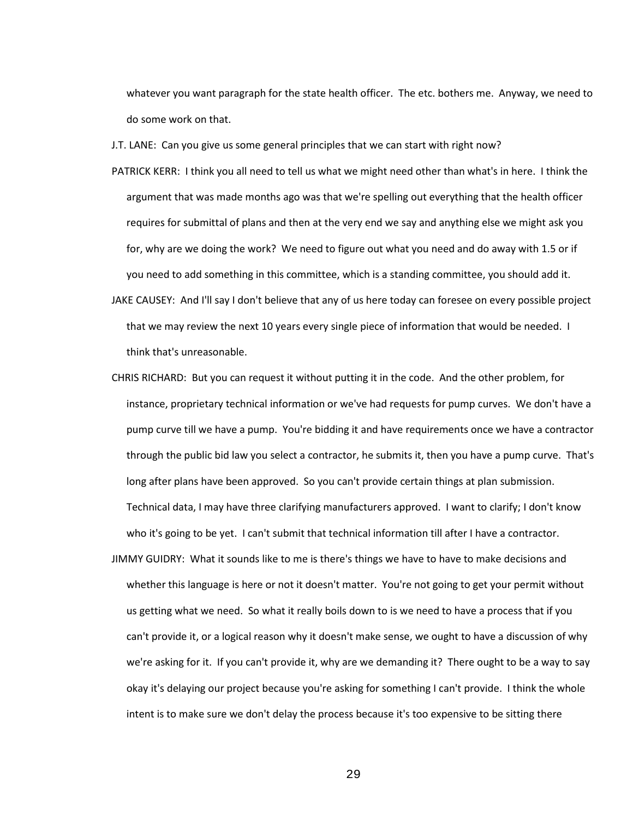whatever you want paragraph for the state health officer. The etc. bothers me. Anyway, we need to do some work on that.

J.T. LANE: Can you give us some general principles that we can start with right now?

- PATRICK KERR: I think you all need to tell us what we might need other than what's in here. I think the argument that was made months ago was that we're spelling out everything that the health officer requires for submittal of plans and then at the very end we say and anything else we might ask you for, why are we doing the work? We need to figure out what you need and do away with 1.5 or if you need to add something in this committee, which is a standing committee, you should add it.
- JAKE CAUSEY: And I'll say I don't believe that any of us here today can foresee on every possible project that we may review the next 10 years every single piece of information that would be needed. I think that's unreasonable.
- CHRIS RICHARD: But you can request it without putting it in the code. And the other problem, for instance, proprietary technical information or we've had requests for pump curves. We don't have a pump curve till we have a pump. You're bidding it and have requirements once we have a contractor through the public bid law you select a contractor, he submits it, then you have a pump curve. That's long after plans have been approved. So you can't provide certain things at plan submission. Technical data, I may have three clarifying manufacturers approved. I want to clarify; I don't know who it's going to be yet. I can't submit that technical information till after I have a contractor.
- JIMMY GUIDRY: What it sounds like to me is there's things we have to have to make decisions and whether this language is here or not it doesn't matter. You're not going to get your permit without us getting what we need. So what it really boils down to is we need to have a process that if you can't provide it, or a logical reason why it doesn't make sense, we ought to have a discussion of why we're asking for it. If you can't provide it, why are we demanding it? There ought to be a way to say okay it's delaying our project because you're asking for something I can't provide. I think the whole intent is to make sure we don't delay the process because it's too expensive to be sitting there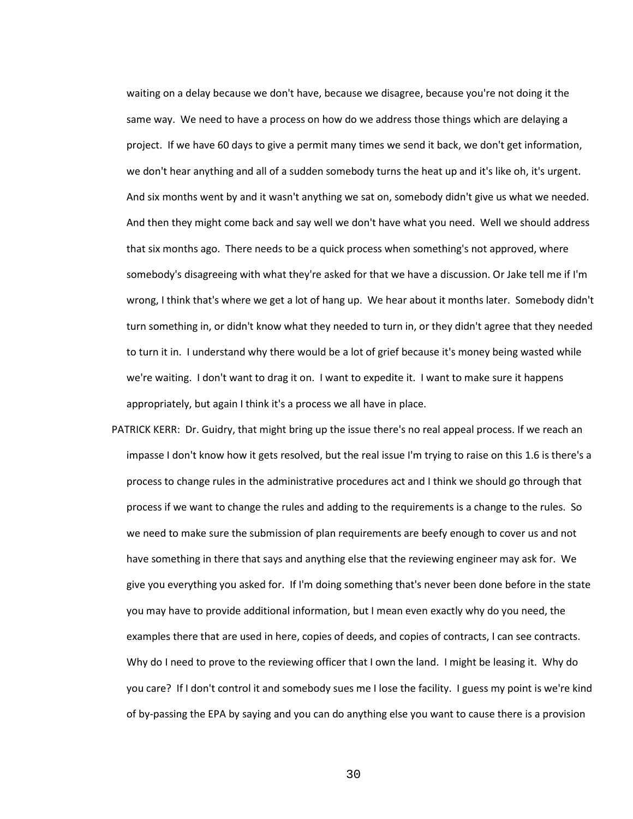waiting on a delay because we don't have, because we disagree, because you're not doing it the same way. We need to have a process on how do we address those things which are delaying a project. If we have 60 days to give a permit many times we send it back, we don't get information, we don't hear anything and all of a sudden somebody turns the heat up and it's like oh, it's urgent. And six months went by and it wasn't anything we sat on, somebody didn't give us what we needed. And then they might come back and say well we don't have what you need. Well we should address that six months ago. There needs to be a quick process when something's not approved, where somebody's disagreeing with what they're asked for that we have a discussion. Or Jake tell me if I'm wrong, I think that's where we get a lot of hang up. We hear about it months later. Somebody didn't turn something in, or didn't know what they needed to turn in, or they didn't agree that they needed to turn it in. I understand why there would be a lot of grief because it's money being wasted while we're waiting. I don't want to drag it on. I want to expedite it. I want to make sure it happens appropriately, but again I think it's a process we all have in place.

PATRICK KERR: Dr. Guidry, that might bring up the issue there's no real appeal process. If we reach an impasse I don't know how it gets resolved, but the real issue I'm trying to raise on this 1.6 is there's a process to change rules in the administrative procedures act and I think we should go through that process if we want to change the rules and adding to the requirements is a change to the rules. So we need to make sure the submission of plan requirements are beefy enough to cover us and not have something in there that says and anything else that the reviewing engineer may ask for. We give you everything you asked for. If I'm doing something that's never been done before in the state you may have to provide additional information, but I mean even exactly why do you need, the examples there that are used in here, copies of deeds, and copies of contracts, I can see contracts. Why do I need to prove to the reviewing officer that I own the land. I might be leasing it. Why do you care? If I don't control it and somebody sues me I lose the facility. I guess my point is we're kind of by-passing the EPA by saying and you can do anything else you want to cause there is a provision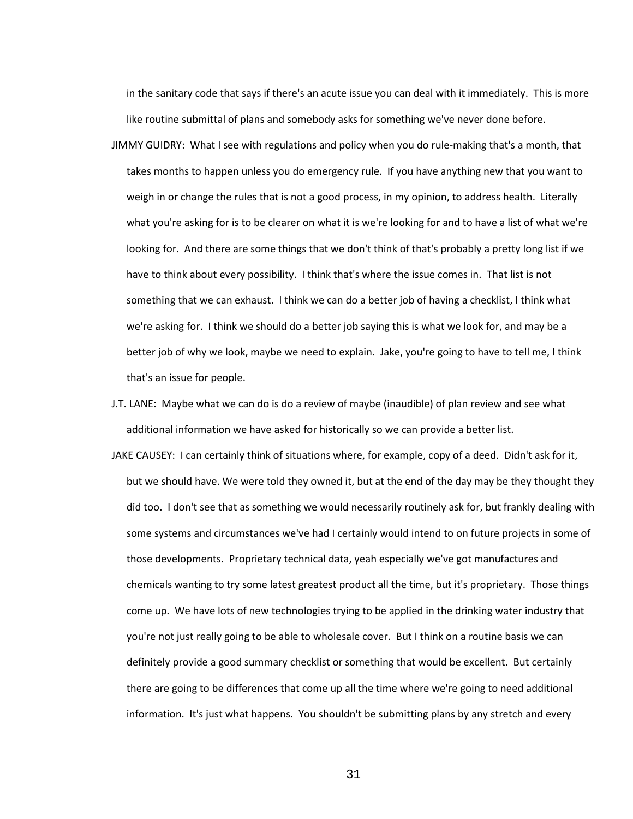in the sanitary code that says if there's an acute issue you can deal with it immediately. This is more like routine submittal of plans and somebody asks for something we've never done before.

- JIMMY GUIDRY: What I see with regulations and policy when you do rule-making that's a month, that takes months to happen unless you do emergency rule. If you have anything new that you want to weigh in or change the rules that is not a good process, in my opinion, to address health. Literally what you're asking for is to be clearer on what it is we're looking for and to have a list of what we're looking for. And there are some things that we don't think of that's probably a pretty long list if we have to think about every possibility. I think that's where the issue comes in. That list is not something that we can exhaust. I think we can do a better job of having a checklist, I think what we're asking for. I think we should do a better job saying this is what we look for, and may be a better job of why we look, maybe we need to explain. Jake, you're going to have to tell me, I think that's an issue for people.
- J.T. LANE: Maybe what we can do is do a review of maybe (inaudible) of plan review and see what additional information we have asked for historically so we can provide a better list.
- JAKE CAUSEY: I can certainly think of situations where, for example, copy of a deed. Didn't ask for it, but we should have. We were told they owned it, but at the end of the day may be they thought they did too. I don't see that as something we would necessarily routinely ask for, but frankly dealing with some systems and circumstances we've had I certainly would intend to on future projects in some of those developments. Proprietary technical data, yeah especially we've got manufactures and chemicals wanting to try some latest greatest product all the time, but it's proprietary. Those things come up. We have lots of new technologies trying to be applied in the drinking water industry that you're not just really going to be able to wholesale cover. But I think on a routine basis we can definitely provide a good summary checklist or something that would be excellent. But certainly there are going to be differences that come up all the time where we're going to need additional information. It's just what happens. You shouldn't be submitting plans by any stretch and every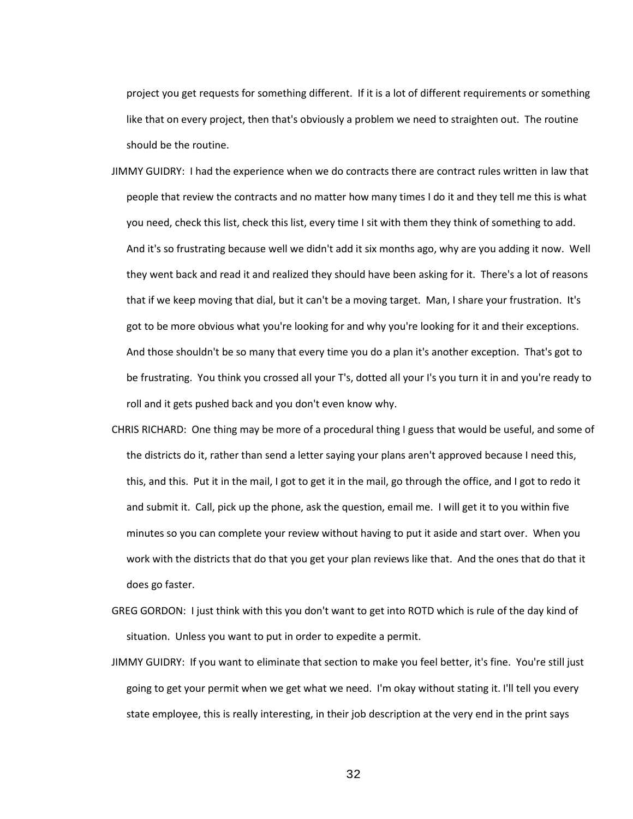project you get requests for something different. If it is a lot of different requirements or something like that on every project, then that's obviously a problem we need to straighten out. The routine should be the routine.

- JIMMY GUIDRY: I had the experience when we do contracts there are contract rules written in law that people that review the contracts and no matter how many times I do it and they tell me this is what you need, check this list, check this list, every time I sit with them they think of something to add. And it's so frustrating because well we didn't add it six months ago, why are you adding it now. Well they went back and read it and realized they should have been asking for it. There's a lot of reasons that if we keep moving that dial, but it can't be a moving target. Man, I share your frustration. It's got to be more obvious what you're looking for and why you're looking for it and their exceptions. And those shouldn't be so many that every time you do a plan it's another exception. That's got to be frustrating. You think you crossed all your T's, dotted all your I's you turn it in and you're ready to roll and it gets pushed back and you don't even know why.
- CHRIS RICHARD: One thing may be more of a procedural thing I guess that would be useful, and some of the districts do it, rather than send a letter saying your plans aren't approved because I need this, this, and this. Put it in the mail, I got to get it in the mail, go through the office, and I got to redo it and submit it. Call, pick up the phone, ask the question, email me. I will get it to you within five minutes so you can complete your review without having to put it aside and start over. When you work with the districts that do that you get your plan reviews like that. And the ones that do that it does go faster.
- GREG GORDON: I just think with this you don't want to get into ROTD which is rule of the day kind of situation. Unless you want to put in order to expedite a permit.
- JIMMY GUIDRY: If you want to eliminate that section to make you feel better, it's fine. You're still just going to get your permit when we get what we need. I'm okay without stating it. I'll tell you every state employee, this is really interesting, in their job description at the very end in the print says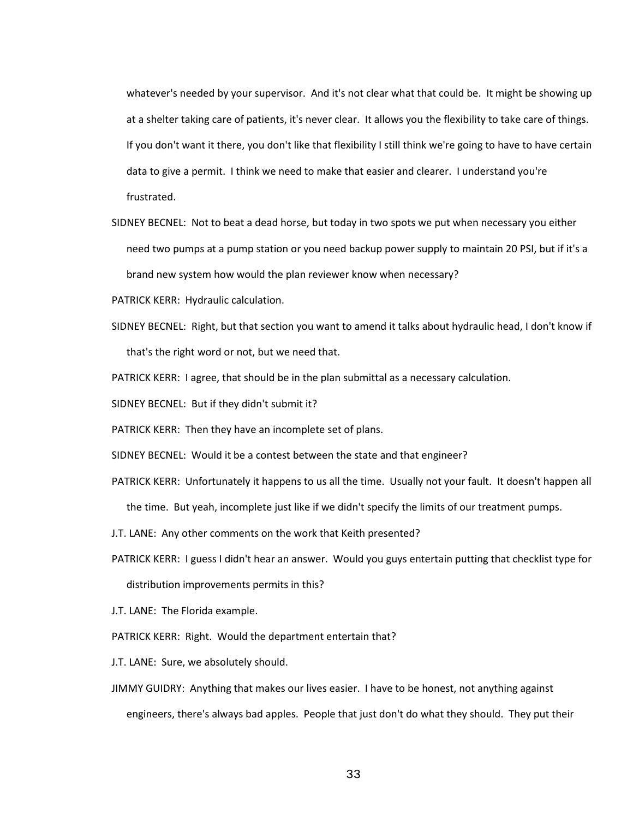whatever's needed by your supervisor. And it's not clear what that could be. It might be showing up at a shelter taking care of patients, it's never clear. It allows you the flexibility to take care of things. If you don't want it there, you don't like that flexibility I still think we're going to have to have certain data to give a permit. I think we need to make that easier and clearer. I understand you're frustrated.

SIDNEY BECNEL: Not to beat a dead horse, but today in two spots we put when necessary you either need two pumps at a pump station or you need backup power supply to maintain 20 PSI, but if it's a brand new system how would the plan reviewer know when necessary?

- PATRICK KERR: Hydraulic calculation.
- SIDNEY BECNEL: Right, but that section you want to amend it talks about hydraulic head, I don't know if that's the right word or not, but we need that.

PATRICK KERR: I agree, that should be in the plan submittal as a necessary calculation.

SIDNEY BECNEL: But if they didn't submit it?

PATRICK KERR: Then they have an incomplete set of plans.

SIDNEY BECNEL: Would it be a contest between the state and that engineer?

PATRICK KERR: Unfortunately it happens to us all the time. Usually not your fault. It doesn't happen all

the time. But yeah, incomplete just like if we didn't specify the limits of our treatment pumps.

J.T. LANE: Any other comments on the work that Keith presented?

PATRICK KERR: I guess I didn't hear an answer. Would you guys entertain putting that checklist type for

distribution improvements permits in this?

J.T. LANE: The Florida example.

PATRICK KERR: Right. Would the department entertain that?

J.T. LANE: Sure, we absolutely should.

JIMMY GUIDRY: Anything that makes our lives easier. I have to be honest, not anything against engineers, there's always bad apples. People that just don't do what they should. They put their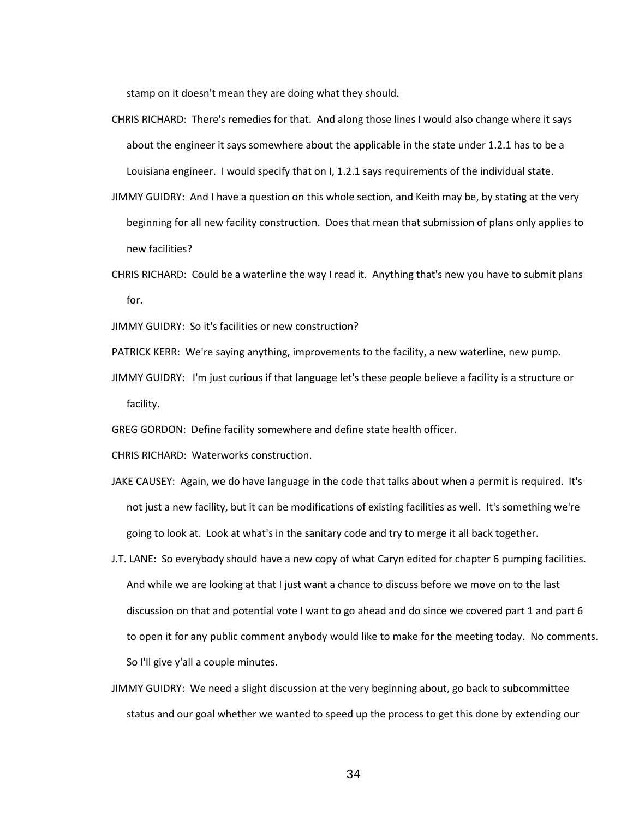stamp on it doesn't mean they are doing what they should.

- CHRIS RICHARD: There's remedies for that. And along those lines I would also change where it says about the engineer it says somewhere about the applicable in the state under 1.2.1 has to be a Louisiana engineer. I would specify that on I, 1.2.1 says requirements of the individual state.
- JIMMY GUIDRY: And I have a question on this whole section, and Keith may be, by stating at the very beginning for all new facility construction. Does that mean that submission of plans only applies to new facilities?
- CHRIS RICHARD: Could be a waterline the way I read it. Anything that's new you have to submit plans for.

JIMMY GUIDRY: So it's facilities or new construction?

- PATRICK KERR: We're saying anything, improvements to the facility, a new waterline, new pump.
- JIMMY GUIDRY: I'm just curious if that language let's these people believe a facility is a structure or facility.
- GREG GORDON: Define facility somewhere and define state health officer.

CHRIS RICHARD: Waterworks construction.

- JAKE CAUSEY: Again, we do have language in the code that talks about when a permit is required. It's not just a new facility, but it can be modifications of existing facilities as well. It's something we're going to look at. Look at what's in the sanitary code and try to merge it all back together.
- J.T. LANE: So everybody should have a new copy of what Caryn edited for chapter 6 pumping facilities. And while we are looking at that I just want a chance to discuss before we move on to the last discussion on that and potential vote I want to go ahead and do since we covered part 1 and part 6 to open it for any public comment anybody would like to make for the meeting today. No comments. So I'll give y'all a couple minutes.
- JIMMY GUIDRY: We need a slight discussion at the very beginning about, go back to subcommittee status and our goal whether we wanted to speed up the process to get this done by extending our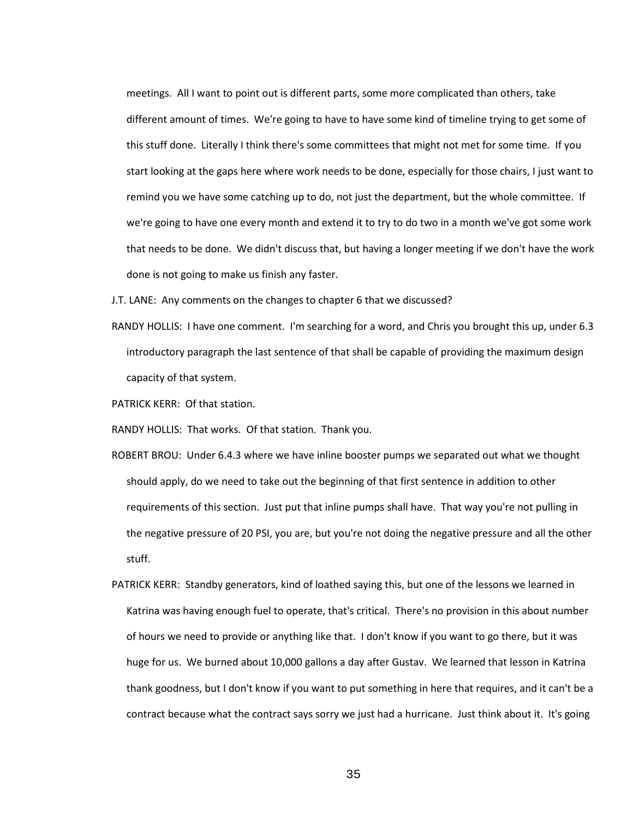meetings. All I want to point out is different parts, some more complicated than others, take different amount of times. We're going to have to have some kind of timeline trying to get some of this stuff done. Literally I think there's some committees that might not met for some time. If you start looking at the gaps here where work needs to be done, especially for those chairs, I just want to remind you we have some catching up to do, not just the department, but the whole committee. If we're going to have one every month and extend it to try to do two in a month we've got some work that needs to be done. We didn't discuss that, but having a longer meeting if we don't have the work done is not going to make us finish any faster.

- J.T. LANE: Any comments on the changes to chapter 6 that we discussed?
- RANDY HOLLIS: I have one comment. I'm searching for a word, and Chris you brought this up, under 6.3 introductory paragraph the last sentence of that shall be capable of providing the maximum design capacity of that system.
- PATRICK KERR: Of that station.

RANDY HOLLIS: That works. Of that station. Thank you.

- ROBERT BROU: Under 6.4.3 where we have inline booster pumps we separated out what we thought should apply, do we need to take out the beginning of that first sentence in addition to other requirements of this section. Just put that inline pumps shall have. That way you're not pulling in the negative pressure of 20 PSI, you are, but you're not doing the negative pressure and all the other stuff.
- PATRICK KERR: Standby generators, kind of loathed saying this, but one of the lessons we learned in Katrina was having enough fuel to operate, that's critical. There's no provision in this about number of hours we need to provide or anything like that. I don't know if you want to go there, but it was huge for us. We burned about 10,000 gallons a day after Gustav. We learned that lesson in Katrina thank goodness, but I don't know if you want to put something in here that requires, and it can't be a contract because what the contract says sorry we just had a hurricane. Just think about it. It's going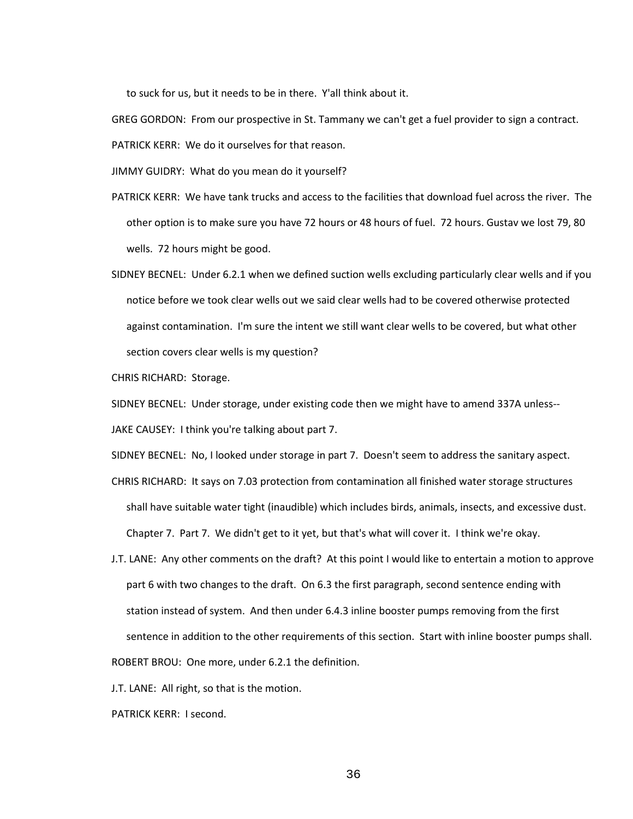to suck for us, but it needs to be in there. Y'all think about it.

GREG GORDON: From our prospective in St. Tammany we can't get a fuel provider to sign a contract.

PATRICK KERR: We do it ourselves for that reason.

JIMMY GUIDRY: What do you mean do it yourself?

- PATRICK KERR: We have tank trucks and access to the facilities that download fuel across the river. The other option is to make sure you have 72 hours or 48 hours of fuel. 72 hours. Gustav we lost 79, 80 wells. 72 hours might be good.
- SIDNEY BECNEL: Under 6.2.1 when we defined suction wells excluding particularly clear wells and if you notice before we took clear wells out we said clear wells had to be covered otherwise protected against contamination. I'm sure the intent we still want clear wells to be covered, but what other section covers clear wells is my question?

CHRIS RICHARD: Storage.

SIDNEY BECNEL: Under storage, under existing code then we might have to amend 337A unless--

JAKE CAUSEY: I think you're talking about part 7.

SIDNEY BECNEL: No, I looked under storage in part 7. Doesn't seem to address the sanitary aspect.

- CHRIS RICHARD: It says on 7.03 protection from contamination all finished water storage structures shall have suitable water tight (inaudible) which includes birds, animals, insects, and excessive dust. Chapter 7. Part 7. We didn't get to it yet, but that's what will cover it. I think we're okay.
- J.T. LANE: Any other comments on the draft? At this point I would like to entertain a motion to approve part 6 with two changes to the draft. On 6.3 the first paragraph, second sentence ending with station instead of system. And then under 6.4.3 inline booster pumps removing from the first sentence in addition to the other requirements of this section. Start with inline booster pumps shall. ROBERT BROU: One more, under 6.2.1 the definition.

J.T. LANE: All right, so that is the motion.

PATRICK KERR: I second.